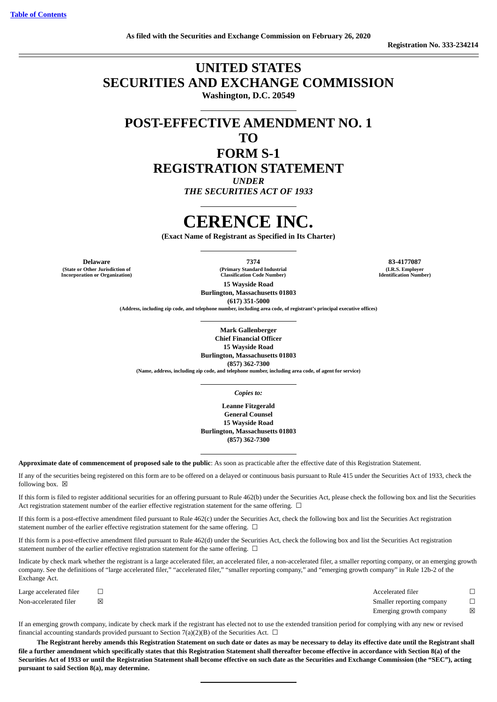# **UNITED STATES SECURITIES AND EXCHANGE COMMISSION Washington, D.C. 20549**

**POST-EFFECTIVE AMENDMENT NO. 1**

## **TO**

**FORM S-1 REGISTRATION STATEMENT** *UNDER THE SECURITIES ACT OF 1933*

# **CERENCE INC.**

**(Exact Name of Registrant as Specified in Its Charter)**

**Delaware 7374 83-4177087 (State or Other Jurisdiction of Incorporation or Organization)**

**(Primary Standard Industrial Classification Code Number)**

**(I.R.S. Employer Identification Number)**

**15 Wayside Road Burlington, Massachusetts 01803 (617) 351-5000**

**(Address, including zip code, and telephone number, including area code, of registrant's principal executive offices)**

**Mark Gallenberger Chief Financial Officer 15 Wayside Road Burlington, Massachusetts 01803**

**(857) 362-7300 (Name, address, including zip code, and telephone number, including area code, of agent for service)**

*Copies to:*

**Leanne Fitzgerald General Counsel 15 Wayside Road Burlington, Massachusetts 01803 (857) 362-7300**

**Approximate date of commencement of proposed sale to the public**: As soon as practicable after the effective date of this Registration Statement.

If any of the securities being registered on this form are to be offered on a delayed or continuous basis pursuant to Rule 415 under the Securities Act of 1933, check the following box.  $\boxtimes$ 

If this form is filed to register additional securities for an offering pursuant to Rule 462(b) under the Securities Act, please check the following box and list the Securities Act registration statement number of the earlier effective registration statement for the same offering. □

If this form is a post-effective amendment filed pursuant to Rule 462(c) under the Securities Act, check the following box and list the Securities Act registration statement number of the earlier effective registration statement for the same offering.  $\Box$ 

If this form is a post-effective amendment filed pursuant to Rule 462(d) under the Securities Act, check the following box and list the Securities Act registration statement number of the earlier effective registration statement for the same offering.  $\Box$ 

Indicate by check mark whether the registrant is a large accelerated filer, an accelerated filer, a non-accelerated filer, a smaller reporting company, or an emerging growth company. See the definitions of "large accelerated filer," "accelerated filer," "smaller reporting company," and "emerging growth company" in Rule 12b-2 of the Exchange Act.

Large accelerated filer ☐ Accelerated filer ☐ Non-accelerated filer ⊠ <br>
In Smaller reporting company □ Emerging growth company  $\boxtimes$ 

If an emerging growth company, indicate by check mark if the registrant has elected not to use the extended transition period for complying with any new or revised financial accounting standards provided pursuant to Section 7(a)(2)(B) of the Securities Act.  $\Box$ 

**The Registrant hereby amends this Registration Statement on such date or dates as may be necessary to delay its effective date until the Registrant shall file a further amendment which specifically states that this Registration Statement shall thereafter become effective in accordance with Section 8(a) of the Securities Act of 1933 or until the Registration Statement shall become effective on such date as the Securities and Exchange Commission (the "SEC"), acting pursuant to said Section 8(a), may determine.**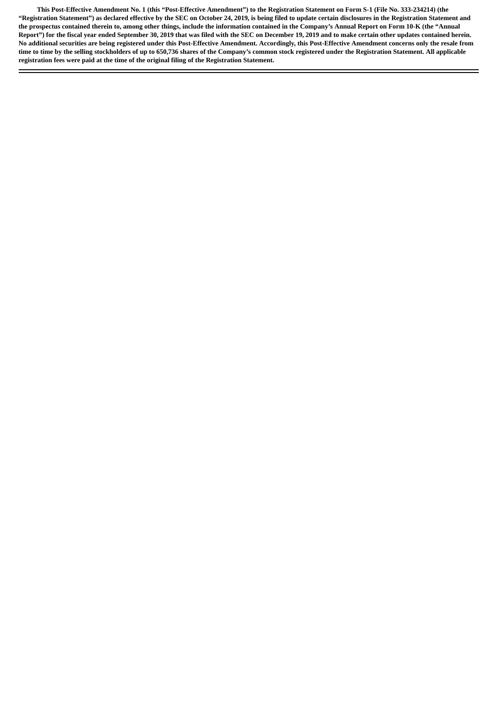**This Post-Effective Amendment No. 1 (this "Post-Effective Amendment") to the Registration Statement on Form S-1 (File No. 333-234214) (the "Registration Statement") as declared effective by the SEC on October 24, 2019, is being filed to update certain disclosures in the Registration Statement and the prospectus contained therein to, among other things, include the information contained in the Company's Annual Report on Form 10-K (the "Annual Report") for the fiscal year ended September 30, 2019 that was filed with the SEC on December 19, 2019 and to make certain other updates contained herein. No additional securities are being registered under this Post-Effective Amendment. Accordingly, this Post-Effective Amendment concerns only the resale from time to time by the selling stockholders of up to 650,736 shares of the Company's common stock registered under the Registration Statement. All applicable registration fees were paid at the time of the original filing of the Registration Statement.**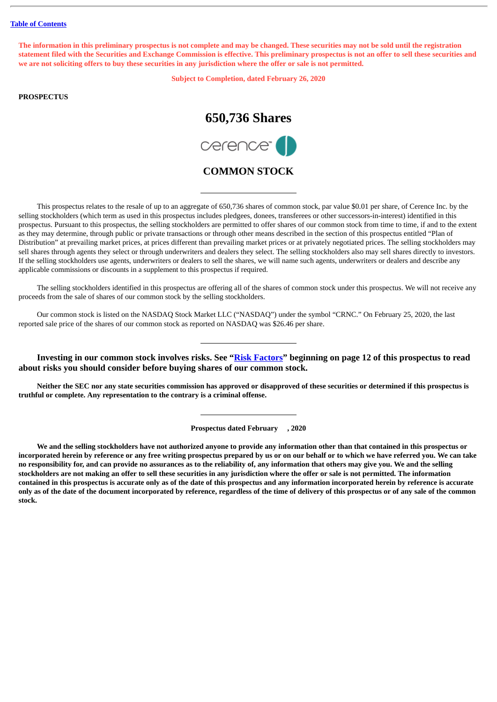The information in this preliminary prospectus is not complete and may be changed. These securities may not be sold until the registration statement filed with the Securities and Exchange Commission is effective. This preliminary prospectus is not an offer to sell these securities and we are not soliciting offers to buy these securities in any jurisdiction where the offer or sale is not permitted.

**Subject to Completion, dated February 26, 2020**

## **PROSPECTUS**

# **650,736 Shares**



## **COMMON STOCK**

This prospectus relates to the resale of up to an aggregate of 650,736 shares of common stock, par value \$0.01 per share, of Cerence Inc. by the selling stockholders (which term as used in this prospectus includes pledgees, donees, transferees or other successors-in-interest) identified in this prospectus. Pursuant to this prospectus, the selling stockholders are permitted to offer shares of our common stock from time to time, if and to the extent as they may determine, through public or private transactions or through other means described in the section of this prospectus entitled "Plan of Distribution" at prevailing market prices, at prices different than prevailing market prices or at privately negotiated prices. The selling stockholders may sell shares through agents they select or through underwriters and dealers they select. The selling stockholders also may sell shares directly to investors. If the selling stockholders use agents, underwriters or dealers to sell the shares, we will name such agents, underwriters or dealers and describe any applicable commissions or discounts in a supplement to this prospectus if required.

The selling stockholders identified in this prospectus are offering all of the shares of common stock under this prospectus. We will not receive any proceeds from the sale of shares of our common stock by the selling stockholders.

Our common stock is listed on the NASDAQ Stock Market LLC ("NASDAQ") under the symbol "CRNC." On February 25, 2020, the last reported sale price of the shares of our common stock as reported on NASDAQ was \$26.46 per share.

**Investing in our common stock involves risks. See ["Risk Factors"](#page-15-0) beginning on page 12 of this prospectus to read about risks you should consider before buying shares of our common stock.**

Neither the SEC nor any state securities commission has approved or disapproved of these securities or determined if this prospectus is **truthful or complete. Any representation to the contrary is a criminal offense.**

**Prospectus dated February , 2020**

We and the selling stockholders have not authorized anyone to provide any information other than that contained in this prospectus or incorporated herein by reference or any free writing prospectus prepared by us or on our behalf or to which we have referred you. We can take no responsibility for, and can provide no assurances as to the reliability of, any information that others may give you. We and the selling stockholders are not making an offer to sell these securities in any jurisdiction where the offer or sale is not permitted. The information contained in this prospectus is accurate only as of the date of this prospectus and any information incorporated herein by reference is accurate only as of the date of the document incorporated by reference, regardless of the time of delivery of this prospectus or of any sale of the common **stock.**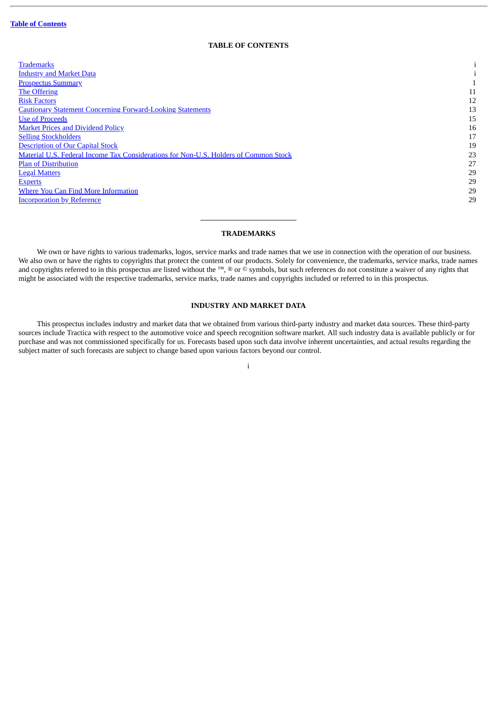## **TABLE OF CONTENTS**

<span id="page-3-0"></span>

| <b>Trademarks</b>                                                                    |    |
|--------------------------------------------------------------------------------------|----|
| <b>Industry and Market Data</b>                                                      |    |
| <b>Prospectus Summary</b>                                                            |    |
| <b>The Offering</b>                                                                  | 11 |
| <b>Risk Factors</b>                                                                  | 12 |
| <b>Cautionary Statement Concerning Forward-Looking Statements</b>                    | 13 |
| <b>Use of Proceeds</b>                                                               | 15 |
| <b>Market Prices and Dividend Policy</b>                                             | 16 |
| <b>Selling Stockholders</b>                                                          | 17 |
| <b>Description of Our Capital Stock</b>                                              | 19 |
| Material U.S. Federal Income Tax Considerations for Non-U.S. Holders of Common Stock | 23 |
| <b>Plan of Distribution</b>                                                          | 27 |
| <b>Legal Matters</b>                                                                 | 29 |
| <b>Experts</b>                                                                       | 29 |
| Where You Can Find More Information                                                  | 29 |
| <b>Incorporation by Reference</b>                                                    | 29 |
|                                                                                      |    |

## **TRADEMARKS**

<span id="page-3-1"></span>We own or have rights to various trademarks, logos, service marks and trade names that we use in connection with the operation of our business. We also own or have the rights to copyrights that protect the content of our products. Solely for convenience, the trademarks, service marks, trade names and copyrights referred to in this prospectus are listed without the ™, ® or © symbols, but such references do not constitute a waiver of any rights that might be associated with the respective trademarks, service marks, trade names and copyrights included or referred to in this prospectus.

## **INDUSTRY AND MARKET DATA**

<span id="page-3-2"></span>This prospectus includes industry and market data that we obtained from various third-party industry and market data sources. These third-party sources include Tractica with respect to the automotive voice and speech recognition software market. All such industry data is available publicly or for purchase and was not commissioned specifically for us. Forecasts based upon such data involve inherent uncertainties, and actual results regarding the subject matter of such forecasts are subject to change based upon various factors beyond our control.

i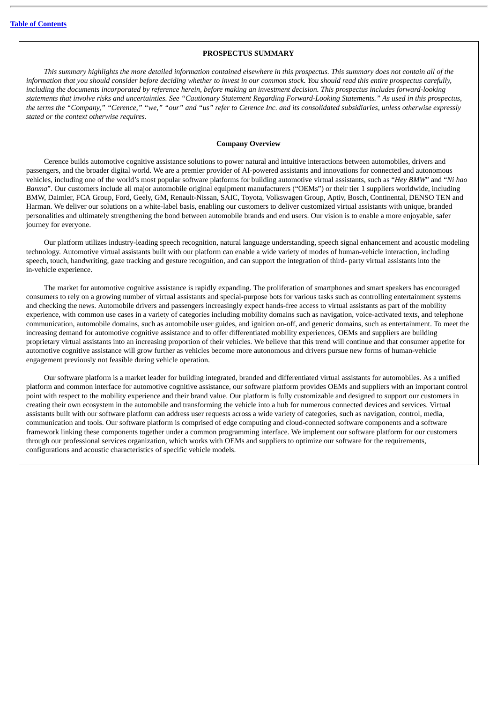#### **PROSPECTUS SUMMARY**

<span id="page-4-0"></span>This summary highlights the more detailed information contained elsewhere in this prospectus. This summary does not contain all of the information that you should consider before deciding whether to invest in our common stock. You should read this entire prospectus carefully, including the documents incorporated by reference herein, before making an investment decision. This prospectus includes forward-looking statements that involve risks and uncertainties. See "Cautionary Statement Regarding Forward-Looking Statements." As used in this prospectus, the terms the "Company," "Cerence," "we," "our" and "us" refer to Cerence Inc. and its consolidated subsidiaries, unless otherwise expressly *stated or the context otherwise requires.*

#### **Company Overview**

Cerence builds automotive cognitive assistance solutions to power natural and intuitive interactions between automobiles, drivers and passengers, and the broader digital world. We are a premier provider of AI-powered assistants and innovations for connected and autonomous vehicles, including one of the world's most popular software platforms for building automotive virtual assistants, such as "*Hey BMW*" and "*Ni hao Banma*". Our customers include all major automobile original equipment manufacturers ("OEMs") or their tier 1 suppliers worldwide, including BMW, Daimler, FCA Group, Ford, Geely, GM, Renault-Nissan, SAIC, Toyota, Volkswagen Group, Aptiv, Bosch, Continental, DENSO TEN and Harman. We deliver our solutions on a white-label basis, enabling our customers to deliver customized virtual assistants with unique, branded personalities and ultimately strengthening the bond between automobile brands and end users. Our vision is to enable a more enjoyable, safer journey for everyone.

Our platform utilizes industry-leading speech recognition, natural language understanding, speech signal enhancement and acoustic modeling technology. Automotive virtual assistants built with our platform can enable a wide variety of modes of human-vehicle interaction, including speech, touch, handwriting, gaze tracking and gesture recognition, and can support the integration of third- party virtual assistants into the in-vehicle experience.

The market for automotive cognitive assistance is rapidly expanding. The proliferation of smartphones and smart speakers has encouraged consumers to rely on a growing number of virtual assistants and special-purpose bots for various tasks such as controlling entertainment systems and checking the news. Automobile drivers and passengers increasingly expect hands-free access to virtual assistants as part of the mobility experience, with common use cases in a variety of categories including mobility domains such as navigation, voice-activated texts, and telephone communication, automobile domains, such as automobile user guides, and ignition on-off, and generic domains, such as entertainment. To meet the increasing demand for automotive cognitive assistance and to offer differentiated mobility experiences, OEMs and suppliers are building proprietary virtual assistants into an increasing proportion of their vehicles. We believe that this trend will continue and that consumer appetite for automotive cognitive assistance will grow further as vehicles become more autonomous and drivers pursue new forms of human-vehicle engagement previously not feasible during vehicle operation.

Our software platform is a market leader for building integrated, branded and differentiated virtual assistants for automobiles. As a unified platform and common interface for automotive cognitive assistance, our software platform provides OEMs and suppliers with an important control point with respect to the mobility experience and their brand value. Our platform is fully customizable and designed to support our customers in creating their own ecosystem in the automobile and transforming the vehicle into a hub for numerous connected devices and services. Virtual assistants built with our software platform can address user requests across a wide variety of categories, such as navigation, control, media, communication and tools. Our software platform is comprised of edge computing and cloud-connected software components and a software framework linking these components together under a common programming interface. We implement our software platform for our customers through our professional services organization, which works with OEMs and suppliers to optimize our software for the requirements, configurations and acoustic characteristics of specific vehicle models.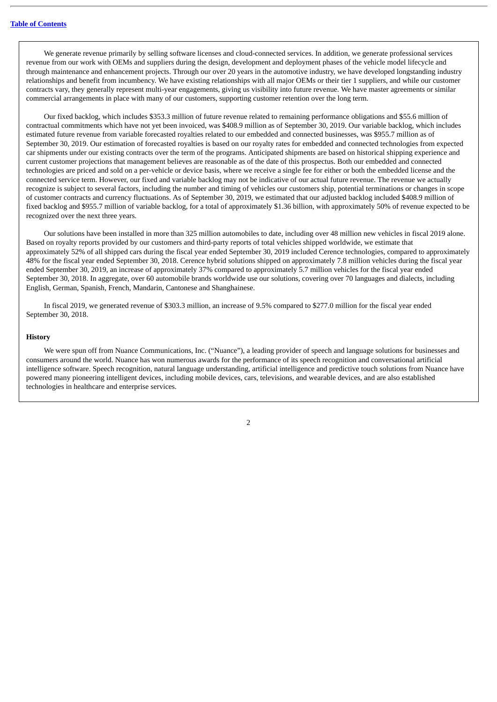We generate revenue primarily by selling software licenses and cloud-connected services. In addition, we generate professional services revenue from our work with OEMs and suppliers during the design, development and deployment phases of the vehicle model lifecycle and through maintenance and enhancement projects. Through our over 20 years in the automotive industry, we have developed longstanding industry relationships and benefit from incumbency. We have existing relationships with all major OEMs or their tier 1 suppliers, and while our customer contracts vary, they generally represent multi-year engagements, giving us visibility into future revenue. We have master agreements or similar commercial arrangements in place with many of our customers, supporting customer retention over the long term.

Our fixed backlog, which includes \$353.3 million of future revenue related to remaining performance obligations and \$55.6 million of contractual commitments which have not yet been invoiced, was \$408.9 million as of September 30, 2019. Our variable backlog, which includes estimated future revenue from variable forecasted royalties related to our embedded and connected businesses, was \$955.7 million as of September 30, 2019. Our estimation of forecasted royalties is based on our royalty rates for embedded and connected technologies from expected car shipments under our existing contracts over the term of the programs. Anticipated shipments are based on historical shipping experience and current customer projections that management believes are reasonable as of the date of this prospectus. Both our embedded and connected technologies are priced and sold on a per-vehicle or device basis, where we receive a single fee for either or both the embedded license and the connected service term. However, our fixed and variable backlog may not be indicative of our actual future revenue. The revenue we actually recognize is subject to several factors, including the number and timing of vehicles our customers ship, potential terminations or changes in scope of customer contracts and currency fluctuations. As of September 30, 2019, we estimated that our adjusted backlog included \$408.9 million of fixed backlog and \$955.7 million of variable backlog, for a total of approximately \$1.36 billion, with approximately 50% of revenue expected to be recognized over the next three years.

Our solutions have been installed in more than 325 million automobiles to date, including over 48 million new vehicles in fiscal 2019 alone. Based on royalty reports provided by our customers and third-party reports of total vehicles shipped worldwide, we estimate that approximately 52% of all shipped cars during the fiscal year ended September 30, 2019 included Cerence technologies, compared to approximately 48% for the fiscal year ended September 30, 2018. Cerence hybrid solutions shipped on approximately 7.8 million vehicles during the fiscal year ended September 30, 2019, an increase of approximately 37% compared to approximately 5.7 million vehicles for the fiscal year ended September 30, 2018. In aggregate, over 60 automobile brands worldwide use our solutions, covering over 70 languages and dialects, including English, German, Spanish, French, Mandarin, Cantonese and Shanghainese.

In fiscal 2019, we generated revenue of \$303.3 million, an increase of 9.5% compared to \$277.0 million for the fiscal year ended September 30, 2018.

#### **History**

We were spun off from Nuance Communications, Inc. ("Nuance"), a leading provider of speech and language solutions for businesses and consumers around the world. Nuance has won numerous awards for the performance of its speech recognition and conversational artificial intelligence software. Speech recognition, natural language understanding, artificial intelligence and predictive touch solutions from Nuance have powered many pioneering intelligent devices, including mobile devices, cars, televisions, and wearable devices, and are also established technologies in healthcare and enterprise services.

 $\overline{2}$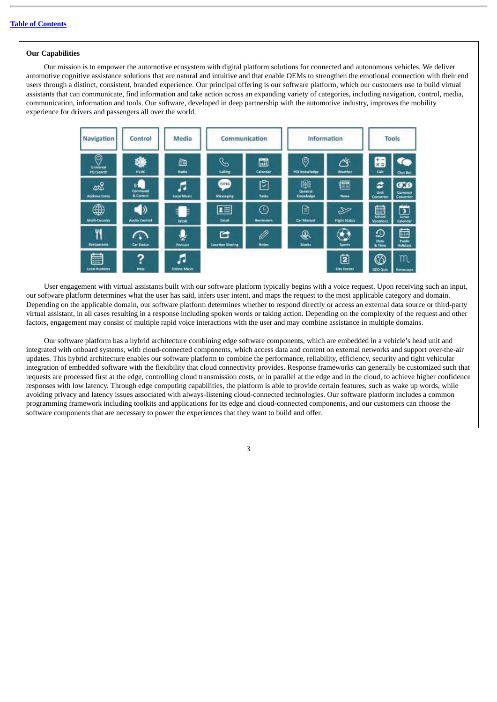#### **Our Capabilities**

Our mission is to empower the automotive ecosystem with digital platform solutions for connected and autonomous vehicles. We deliver automotive cognitive assistance solutions that are natural and intuitive and that enable OEMs to strengthen the emotional connection with their end users through a distinct, consistent, branded experience. Our principal offering is our software platform, which our customers use to build virtual assistants that can communicate, find information and take action across an expanding variety of categories, including navigation, control, media, communication, information and tools. Our software, developed in deep partnership with the automotive industry, improves the mobility experience for drivers and passengers all over the world.



User engagement with virtual assistants built with our software platform typically begins with a voice request. Upon receiving such an input, our software platform determines what the user has said, infers user intent, and maps the request to the most applicable category and domain. Depending on the applicable domain, our software platform determines whether to respond directly or access an external data source or third-party virtual assistant, in all cases resulting in a response including spoken words or taking action. Depending on the complexity of the request and other factors, engagement may consist of multiple rapid voice interactions with the user and may combine assistance in multiple domains.

Our software platform has a hybrid architecture combining edge software components, which are embedded in a vehicle's head unit and integrated with onboard systems, with cloud-connected components, which access data and content on external networks and support over-the-air updates. This hybrid architecture enables our software platform to combine the performance, reliability, efficiency, security and tight vehicular integration of embedded software with the flexibility that cloud connectivity provides. Response frameworks can generally be customized such that requests are processed first at the edge, controlling cloud transmission costs, or in parallel at the edge and in the cloud, to achieve higher confidence responses with low latency. Through edge computing capabilities, the platform is able to provide certain features, such as wake up words, while avoiding privacy and latency issues associated with always-listening cloud-connected technologies. Our software platform includes a common programming framework including toolkits and applications for its edge and cloud-connected components, and our customers can choose the software components that are necessary to power the experiences that they want to build and offer.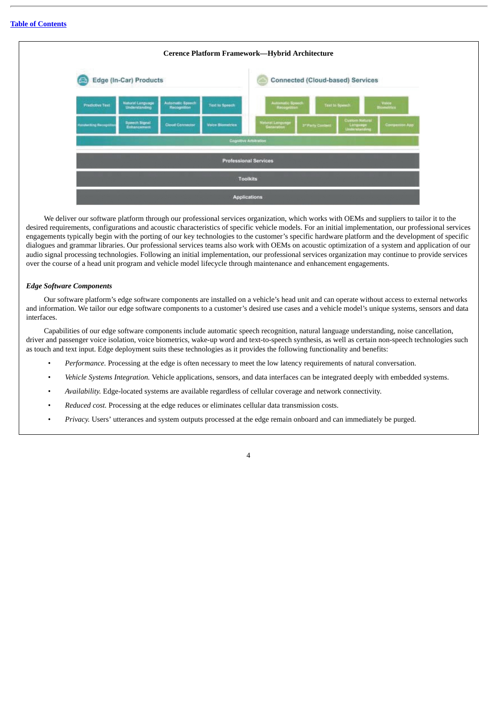

We deliver our software platform through our professional services organization, which works with OEMs and suppliers to tailor it to the desired requirements, configurations and acoustic characteristics of specific vehicle models. For an initial implementation, our professional services engagements typically begin with the porting of our key technologies to the customer's specific hardware platform and the development of specific dialogues and grammar libraries. Our professional services teams also work with OEMs on acoustic optimization of a system and application of our audio signal processing technologies. Following an initial implementation, our professional services organization may continue to provide services over the course of a head unit program and vehicle model lifecycle through maintenance and enhancement engagements.

#### *Edge Software Components*

Our software platform's edge software components are installed on a vehicle's head unit and can operate without access to external networks and information. We tailor our edge software components to a customer's desired use cases and a vehicle model's unique systems, sensors and data interfaces.

Capabilities of our edge software components include automatic speech recognition, natural language understanding, noise cancellation, driver and passenger voice isolation, voice biometrics, wake-up word and text-to-speech synthesis, as well as certain non-speech technologies such as touch and text input. Edge deployment suits these technologies as it provides the following functionality and benefits:

- *Performance.* Processing at the edge is often necessary to meet the low latency requirements of natural conversation.
- *Vehicle Systems Integration.* Vehicle applications, sensors, and data interfaces can be integrated deeply with embedded systems.
- *Availability.* Edge-located systems are available regardless of cellular coverage and network connectivity.
- *Reduced cost.* Processing at the edge reduces or eliminates cellular data transmission costs.
- *Privacy.* Users' utterances and system outputs processed at the edge remain onboard and can immediately be purged.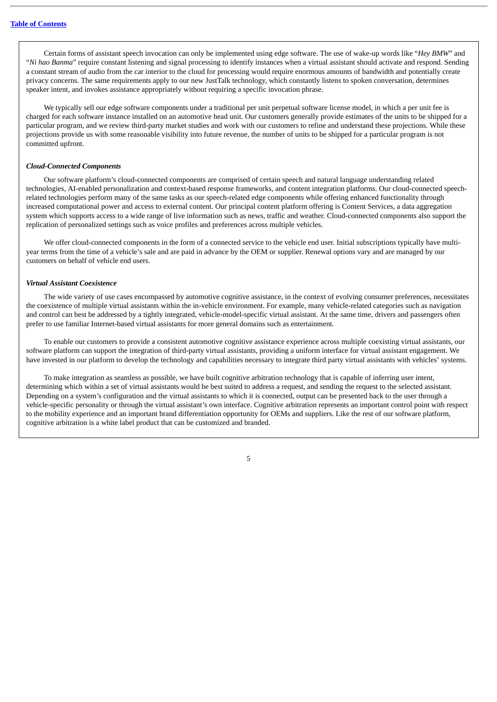Certain forms of assistant speech invocation can only be implemented using edge software. The use of wake-up words like "*Hey BMW*" and "*Ni hao Banma*" require constant listening and signal processing to identify instances when a virtual assistant should activate and respond. Sending a constant stream of audio from the car interior to the cloud for processing would require enormous amounts of bandwidth and potentially create privacy concerns. The same requirements apply to our new JustTalk technology, which constantly listens to spoken conversation, determines speaker intent, and invokes assistance appropriately without requiring a specific invocation phrase.

We typically sell our edge software components under a traditional per unit perpetual software license model, in which a per unit fee is charged for each software instance installed on an automotive head unit. Our customers generally provide estimates of the units to be shipped for a particular program, and we review third-party market studies and work with our customers to refine and understand these projections. While these projections provide us with some reasonable visibility into future revenue, the number of units to be shipped for a particular program is not committed upfront.

#### *Cloud-Connected Components*

Our software platform's cloud-connected components are comprised of certain speech and natural language understanding related technologies, AI-enabled personalization and context-based response frameworks, and content integration platforms. Our cloud-connected speechrelated technologies perform many of the same tasks as our speech-related edge components while offering enhanced functionality through increased computational power and access to external content. Our principal content platform offering is Content Services, a data aggregation system which supports access to a wide range of live information such as news, traffic and weather. Cloud-connected components also support the replication of personalized settings such as voice profiles and preferences across multiple vehicles.

We offer cloud-connected components in the form of a connected service to the vehicle end user. Initial subscriptions typically have multiyear terms from the time of a vehicle's sale and are paid in advance by the OEM or supplier. Renewal options vary and are managed by our customers on behalf of vehicle end users.

#### *Virtual Assistant Coexistence*

The wide variety of use cases encompassed by automotive cognitive assistance, in the context of evolving consumer preferences, necessitates the coexistence of multiple virtual assistants within the in-vehicle environment. For example, many vehicle-related categories such as navigation and control can best be addressed by a tightly integrated, vehicle-model-specific virtual assistant. At the same time, drivers and passengers often prefer to use familiar Internet-based virtual assistants for more general domains such as entertainment.

To enable our customers to provide a consistent automotive cognitive assistance experience across multiple coexisting virtual assistants, our software platform can support the integration of third-party virtual assistants, providing a uniform interface for virtual assistant engagement. We have invested in our platform to develop the technology and capabilities necessary to integrate third party virtual assistants with vehicles' systems.

To make integration as seamless as possible, we have built cognitive arbitration technology that is capable of inferring user intent, determining which within a set of virtual assistants would be best suited to address a request, and sending the request to the selected assistant. Depending on a system's configuration and the virtual assistants to which it is connected, output can be presented back to the user through a vehicle-specific personality or through the virtual assistant's own interface. Cognitive arbitration represents an important control point with respect to the mobility experience and an important brand differentiation opportunity for OEMs and suppliers. Like the rest of our software platform, cognitive arbitration is a white label product that can be customized and branded.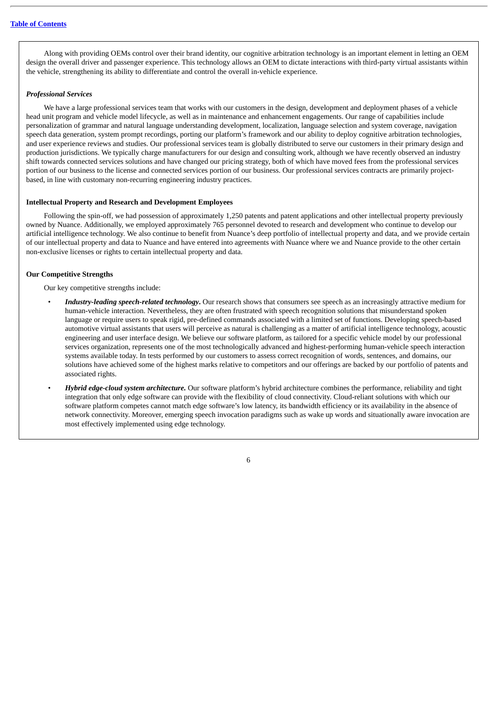Along with providing OEMs control over their brand identity, our cognitive arbitration technology is an important element in letting an OEM design the overall driver and passenger experience. This technology allows an OEM to dictate interactions with third-party virtual assistants within the vehicle, strengthening its ability to differentiate and control the overall in-vehicle experience.

#### *Professional Services*

We have a large professional services team that works with our customers in the design, development and deployment phases of a vehicle head unit program and vehicle model lifecycle, as well as in maintenance and enhancement engagements. Our range of capabilities include personalization of grammar and natural language understanding development, localization, language selection and system coverage, navigation speech data generation, system prompt recordings, porting our platform's framework and our ability to deploy cognitive arbitration technologies, and user experience reviews and studies. Our professional services team is globally distributed to serve our customers in their primary design and production jurisdictions. We typically charge manufacturers for our design and consulting work, although we have recently observed an industry shift towards connected services solutions and have changed our pricing strategy, both of which have moved fees from the professional services portion of our business to the license and connected services portion of our business. Our professional services contracts are primarily projectbased, in line with customary non-recurring engineering industry practices.

#### **Intellectual Property and Research and Development Employees**

Following the spin-off, we had possession of approximately 1,250 patents and patent applications and other intellectual property previously owned by Nuance. Additionally, we employed approximately 765 personnel devoted to research and development who continue to develop our artificial intelligence technology. We also continue to benefit from Nuance's deep portfolio of intellectual property and data, and we provide certain of our intellectual property and data to Nuance and have entered into agreements with Nuance where we and Nuance provide to the other certain non-exclusive licenses or rights to certain intellectual property and data.

#### **Our Competitive Strengths**

Our key competitive strengths include:

- *Industry-leading speech-related technology***.** Our research shows that consumers see speech as an increasingly attractive medium for human-vehicle interaction. Nevertheless, they are often frustrated with speech recognition solutions that misunderstand spoken language or require users to speak rigid, pre-defined commands associated with a limited set of functions. Developing speech-based automotive virtual assistants that users will perceive as natural is challenging as a matter of artificial intelligence technology, acoustic engineering and user interface design. We believe our software platform, as tailored for a specific vehicle model by our professional services organization, represents one of the most technologically advanced and highest-performing human-vehicle speech interaction systems available today. In tests performed by our customers to assess correct recognition of words, sentences, and domains, our solutions have achieved some of the highest marks relative to competitors and our offerings are backed by our portfolio of patents and associated rights.
- *Hybrid edge-cloud system architecture.* Our software platform's hybrid architecture combines the performance, reliability and tight integration that only edge software can provide with the flexibility of cloud connectivity. Cloud-reliant solutions with which our software platform competes cannot match edge software's low latency, its bandwidth efficiency or its availability in the absence of network connectivity. Moreover, emerging speech invocation paradigms such as wake up words and situationally aware invocation are most effectively implemented using edge technology.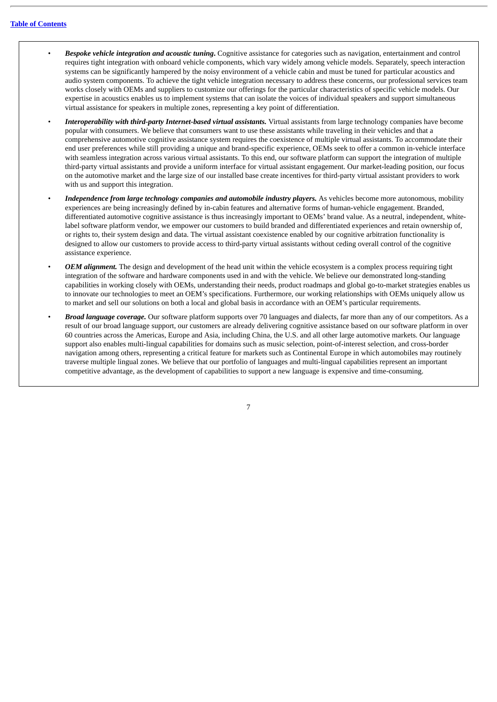- *Bespoke vehicle integration and acoustic tuning***.** Cognitive assistance for categories such as navigation, entertainment and control requires tight integration with onboard vehicle components, which vary widely among vehicle models. Separately, speech interaction systems can be significantly hampered by the noisy environment of a vehicle cabin and must be tuned for particular acoustics and audio system components. To achieve the tight vehicle integration necessary to address these concerns, our professional services team works closely with OEMs and suppliers to customize our offerings for the particular characteristics of specific vehicle models. Our expertise in acoustics enables us to implement systems that can isolate the voices of individual speakers and support simultaneous virtual assistance for speakers in multiple zones, representing a key point of differentiation.
- *Interoperability with third-party Internet-based virtual assistants.* Virtual assistants from large technology companies have become popular with consumers. We believe that consumers want to use these assistants while traveling in their vehicles and that a comprehensive automotive cognitive assistance system requires the coexistence of multiple virtual assistants. To accommodate their end user preferences while still providing a unique and brand-specific experience, OEMs seek to offer a common in-vehicle interface with seamless integration across various virtual assistants. To this end, our software platform can support the integration of multiple third-party virtual assistants and provide a uniform interface for virtual assistant engagement. Our market-leading position, our focus on the automotive market and the large size of our installed base create incentives for third-party virtual assistant providers to work with us and support this integration.
- *Independence from large technology companies and automobile industry players.* As vehicles become more autonomous, mobility experiences are being increasingly defined by in-cabin features and alternative forms of human-vehicle engagement. Branded, differentiated automotive cognitive assistance is thus increasingly important to OEMs' brand value. As a neutral, independent, whitelabel software platform vendor, we empower our customers to build branded and differentiated experiences and retain ownership of, or rights to, their system design and data. The virtual assistant coexistence enabled by our cognitive arbitration functionality is designed to allow our customers to provide access to third-party virtual assistants without ceding overall control of the cognitive assistance experience.
- *OEM alignment.* The design and development of the head unit within the vehicle ecosystem is a complex process requiring tight integration of the software and hardware components used in and with the vehicle. We believe our demonstrated long-standing capabilities in working closely with OEMs, understanding their needs, product roadmaps and global go-to-market strategies enables us to innovate our technologies to meet an OEM's specifications. Furthermore, our working relationships with OEMs uniquely allow us to market and sell our solutions on both a local and global basis in accordance with an OEM's particular requirements.
- *Broad language coverage.* Our software platform supports over 70 languages and dialects, far more than any of our competitors. As a result of our broad language support, our customers are already delivering cognitive assistance based on our software platform in over 60 countries across the Americas, Europe and Asia, including China, the U.S. and all other large automotive markets. Our language support also enables multi-lingual capabilities for domains such as music selection, point-of-interest selection, and cross-border navigation among others, representing a critical feature for markets such as Continental Europe in which automobiles may routinely traverse multiple lingual zones. We believe that our portfolio of languages and multi-lingual capabilities represent an important competitive advantage, as the development of capabilities to support a new language is expensive and time-consuming.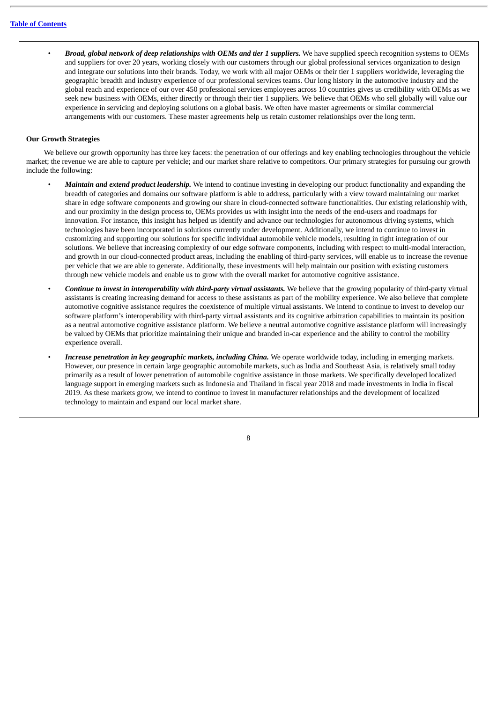• *Broad, global network of deep relationships with OEMs and tier 1 suppliers.* We have supplied speech recognition systems to OEMs and suppliers for over 20 years, working closely with our customers through our global professional services organization to design and integrate our solutions into their brands. Today, we work with all major OEMs or their tier 1 suppliers worldwide, leveraging the geographic breadth and industry experience of our professional services teams. Our long history in the automotive industry and the global reach and experience of our over 450 professional services employees across 10 countries gives us credibility with OEMs as we seek new business with OEMs, either directly or through their tier 1 suppliers. We believe that OEMs who sell globally will value our experience in servicing and deploying solutions on a global basis. We often have master agreements or similar commercial arrangements with our customers. These master agreements help us retain customer relationships over the long term.

#### **Our Growth Strategies**

We believe our growth opportunity has three key facets: the penetration of our offerings and key enabling technologies throughout the vehicle market; the revenue we are able to capture per vehicle; and our market share relative to competitors. Our primary strategies for pursuing our growth include the following:

- *Maintain and extend product leadership.* We intend to continue investing in developing our product functionality and expanding the breadth of categories and domains our software platform is able to address, particularly with a view toward maintaining our market share in edge software components and growing our share in cloud-connected software functionalities. Our existing relationship with, and our proximity in the design process to, OEMs provides us with insight into the needs of the end-users and roadmaps for innovation. For instance, this insight has helped us identify and advance our technologies for autonomous driving systems, which technologies have been incorporated in solutions currently under development. Additionally, we intend to continue to invest in customizing and supporting our solutions for specific individual automobile vehicle models, resulting in tight integration of our solutions. We believe that increasing complexity of our edge software components, including with respect to multi-modal interaction, and growth in our cloud-connected product areas, including the enabling of third-party services, will enable us to increase the revenue per vehicle that we are able to generate. Additionally, these investments will help maintain our position with existing customers through new vehicle models and enable us to grow with the overall market for automotive cognitive assistance.
- *Continue to invest in interoperability with third-party virtual assistants.* We believe that the growing popularity of third-party virtual assistants is creating increasing demand for access to these assistants as part of the mobility experience. We also believe that complete automotive cognitive assistance requires the coexistence of multiple virtual assistants. We intend to continue to invest to develop our software platform's interoperability with third-party virtual assistants and its cognitive arbitration capabilities to maintain its position as a neutral automotive cognitive assistance platform. We believe a neutral automotive cognitive assistance platform will increasingly be valued by OEMs that prioritize maintaining their unique and branded in-car experience and the ability to control the mobility experience overall.
- *Increase penetration in key geographic markets, including China.* We operate worldwide today, including in emerging markets. However, our presence in certain large geographic automobile markets, such as India and Southeast Asia, is relatively small today primarily as a result of lower penetration of automobile cognitive assistance in those markets. We specifically developed localized language support in emerging markets such as Indonesia and Thailand in fiscal year 2018 and made investments in India in fiscal 2019. As these markets grow, we intend to continue to invest in manufacturer relationships and the development of localized technology to maintain and expand our local market share.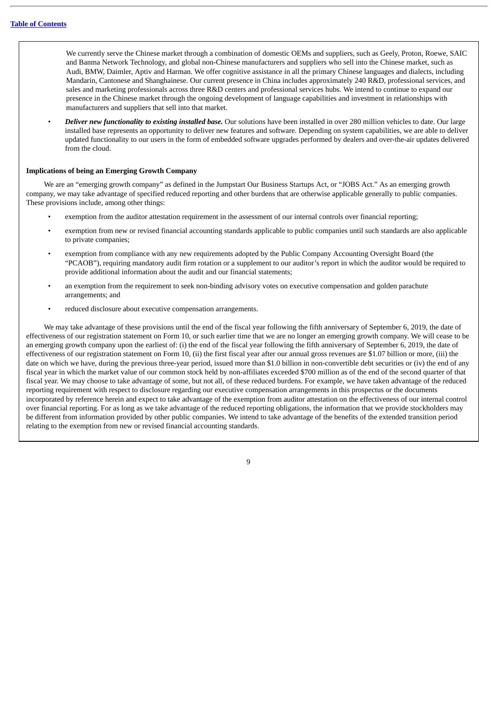We currently serve the Chinese market through a combination of domestic OEMs and suppliers, such as Geely, Proton, Roewe, SAIC and Banma Network Technology, and global non-Chinese manufacturers and suppliers who sell into the Chinese market, such as Audi, BMW, Daimler, Aptiv and Harman. We offer cognitive assistance in all the primary Chinese languages and dialects, including Mandarin, Cantonese and Shanghainese. Our current presence in China includes approximately 240 R&D, professional services, and sales and marketing professionals across three R&D centers and professional services hubs. We intend to continue to expand our presence in the Chinese market through the ongoing development of language capabilities and investment in relationships with manufacturers and suppliers that sell into that market.

• *Deliver new functionality to existing installed base.* Our solutions have been installed in over 280 million vehicles to date. Our large installed base represents an opportunity to deliver new features and software. Depending on system capabilities, we are able to deliver updated functionality to our users in the form of embedded software upgrades performed by dealers and over-the-air updates delivered from the cloud.

#### **Implications of being an Emerging Growth Company**

We are an "emerging growth company" as defined in the Jumpstart Our Business Startups Act, or "JOBS Act." As an emerging growth company, we may take advantage of specified reduced reporting and other burdens that are otherwise applicable generally to public companies. These provisions include, among other things:

- exemption from the auditor attestation requirement in the assessment of our internal controls over financial reporting;
- exemption from new or revised financial accounting standards applicable to public companies until such standards are also applicable to private companies;
- exemption from compliance with any new requirements adopted by the Public Company Accounting Oversight Board (the "PCAOB"), requiring mandatory audit firm rotation or a supplement to our auditor's report in which the auditor would be required to provide additional information about the audit and our financial statements;
- an exemption from the requirement to seek non-binding advisory votes on executive compensation and golden parachute arrangements; and
- reduced disclosure about executive compensation arrangements.

We may take advantage of these provisions until the end of the fiscal year following the fifth anniversary of September 6, 2019, the date of effectiveness of our registration statement on Form 10, or such earlier time that we are no longer an emerging growth company. We will cease to be an emerging growth company upon the earliest of: (i) the end of the fiscal year following the fifth anniversary of September 6, 2019, the date of effectiveness of our registration statement on Form 10, (ii) the first fiscal year after our annual gross revenues are \$1.07 billion or more, (iii) the date on which we have, during the previous three-year period, issued more than \$1.0 billion in non-convertible debt securities or (iv) the end of any fiscal year in which the market value of our common stock held by non-affiliates exceeded \$700 million as of the end of the second quarter of that fiscal year. We may choose to take advantage of some, but not all, of these reduced burdens. For example, we have taken advantage of the reduced reporting requirement with respect to disclosure regarding our executive compensation arrangements in this prospectus or the documents incorporated by reference herein and expect to take advantage of the exemption from auditor attestation on the effectiveness of our internal control over financial reporting. For as long as we take advantage of the reduced reporting obligations, the information that we provide stockholders may be different from information provided by other public companies. We intend to take advantage of the benefits of the extended transition period relating to the exemption from new or revised financial accounting standards.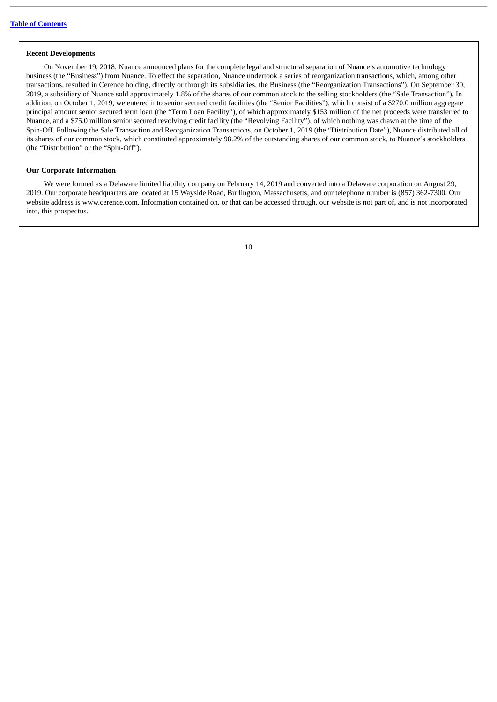#### **Recent Developments**

On November 19, 2018, Nuance announced plans for the complete legal and structural separation of Nuance's automotive technology business (the "Business") from Nuance. To effect the separation, Nuance undertook a series of reorganization transactions, which, among other transactions, resulted in Cerence holding, directly or through its subsidiaries, the Business (the "Reorganization Transactions"). On September 30, 2019, a subsidiary of Nuance sold approximately 1.8% of the shares of our common stock to the selling stockholders (the "Sale Transaction"). In addition, on October 1, 2019, we entered into senior secured credit facilities (the "Senior Facilities"), which consist of a \$270.0 million aggregate principal amount senior secured term loan (the "Term Loan Facility"), of which approximately \$153 million of the net proceeds were transferred to Nuance, and a \$75.0 million senior secured revolving credit facility (the "Revolving Facility"), of which nothing was drawn at the time of the Spin-Off. Following the Sale Transaction and Reorganization Transactions, on October 1, 2019 (the "Distribution Date"), Nuance distributed all of its shares of our common stock, which constituted approximately 98.2% of the outstanding shares of our common stock, to Nuance's stockholders (the "Distribution" or the "Spin-Off").

#### **Our Corporate Information**

We were formed as a Delaware limited liability company on February 14, 2019 and converted into a Delaware corporation on August 29, 2019. Our corporate headquarters are located at 15 Wayside Road, Burlington, Massachusetts, and our telephone number is (857) 362-7300. Our website address is www.cerence.com. Information contained on, or that can be accessed through, our website is not part of, and is not incorporated into, this prospectus.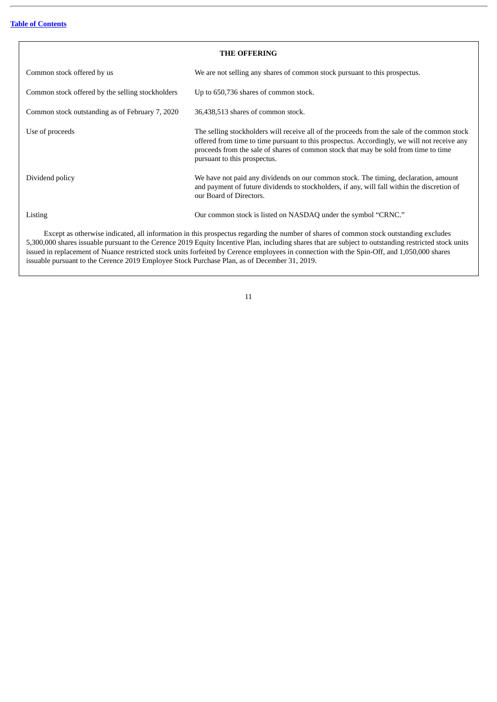<span id="page-14-0"></span>

| <b>THE OFFERING</b>                                                                                                                                                                                                                                                                            |                                                                                                                                                                                                                                                                                                                   |  |  |  |
|------------------------------------------------------------------------------------------------------------------------------------------------------------------------------------------------------------------------------------------------------------------------------------------------|-------------------------------------------------------------------------------------------------------------------------------------------------------------------------------------------------------------------------------------------------------------------------------------------------------------------|--|--|--|
| Common stock offered by us                                                                                                                                                                                                                                                                     | We are not selling any shares of common stock pursuant to this prospectus.                                                                                                                                                                                                                                        |  |  |  |
| Common stock offered by the selling stockholders                                                                                                                                                                                                                                               | Up to 650,736 shares of common stock.                                                                                                                                                                                                                                                                             |  |  |  |
| Common stock outstanding as of February 7, 2020                                                                                                                                                                                                                                                | 36,438,513 shares of common stock.                                                                                                                                                                                                                                                                                |  |  |  |
| Use of proceeds                                                                                                                                                                                                                                                                                | The selling stockholders will receive all of the proceeds from the sale of the common stock<br>offered from time to time pursuant to this prospectus. Accordingly, we will not receive any<br>proceeds from the sale of shares of common stock that may be sold from time to time<br>pursuant to this prospectus. |  |  |  |
| Dividend policy                                                                                                                                                                                                                                                                                | We have not paid any dividends on our common stock. The timing, declaration, amount<br>and payment of future dividends to stockholders, if any, will fall within the discretion of<br>our Board of Directors.                                                                                                     |  |  |  |
| Listing                                                                                                                                                                                                                                                                                        | Our common stock is listed on NASDAQ under the symbol "CRNC."                                                                                                                                                                                                                                                     |  |  |  |
| Except as otherwise indicated, all information in this prospectus regarding the number of shares of common stock outstanding excludes<br>5.300,000 shares issuable pursuant to the Cerence 2019 Equity Incentive Plan, including shares that are subject to outstanding restricted stock units |                                                                                                                                                                                                                                                                                                                   |  |  |  |

5,300,000 shares issuable pursuant to the Cerence 2019 Equity Incentive Plan, including shares that are subject to outstanding restricted stock units issued in replacement of Nuance restricted stock units forfeited by Cerence employees in connection with the Spin-Off, and 1,050,000 shares issuable pursuant to the Cerence 2019 Employee Stock Purchase Plan, as of December 31, 2019.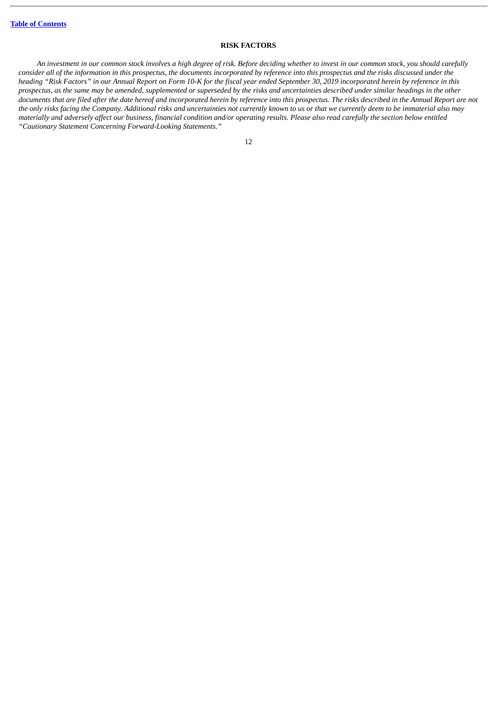## **RISK FACTORS**

<span id="page-15-0"></span>An investment in our common stock involves a high degree of risk. Before deciding whether to invest in our common stock, you should carefully consider all of the information in this prospectus, the documents incorporated by reference into this prospectus and the risks discussed under the heading "Risk Factors" in our Annual Report on Form 10-K for the fiscal year ended September 30, 2019 incorporated herein by reference in this prospectus, as the same may be amended, supplemented or superseded by the risks and uncertainties described under similar headings in the other documents that are filed after the date hereof and incorporated herein by reference into this prospectus. The risks described in the Annual Report are not the only risks facing the Company. Additional risks and uncertainties not currently known to us or that we currently deem to be immaterial also may materially and adversely affect our business, financial condition and/or operating results. Please also read carefully the section below entitled *"Cautionary Statement Concerning Forward-Looking Statements."*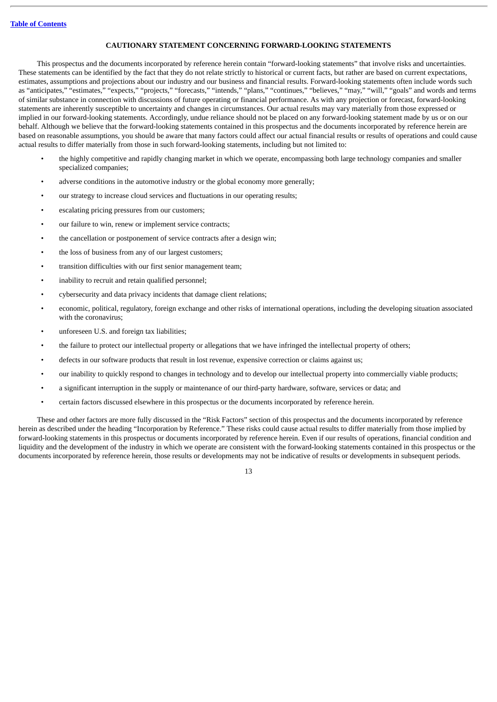## **CAUTIONARY STATEMENT CONCERNING FORWARD-LOOKING STATEMENTS**

<span id="page-16-0"></span>This prospectus and the documents incorporated by reference herein contain "forward-looking statements" that involve risks and uncertainties. These statements can be identified by the fact that they do not relate strictly to historical or current facts, but rather are based on current expectations, estimates, assumptions and projections about our industry and our business and financial results. Forward-looking statements often include words such as "anticipates," "estimates," "expects," "projects," "forecasts," "intends," "plans," "continues," "believes," "may," "will," "goals" and words and terms of similar substance in connection with discussions of future operating or financial performance. As with any projection or forecast, forward-looking statements are inherently susceptible to uncertainty and changes in circumstances. Our actual results may vary materially from those expressed or implied in our forward-looking statements. Accordingly, undue reliance should not be placed on any forward-looking statement made by us or on our behalf. Although we believe that the forward-looking statements contained in this prospectus and the documents incorporated by reference herein are based on reasonable assumptions, you should be aware that many factors could affect our actual financial results or results of operations and could cause actual results to differ materially from those in such forward-looking statements, including but not limited to:

- the highly competitive and rapidly changing market in which we operate, encompassing both large technology companies and smaller specialized companies;
- adverse conditions in the automotive industry or the global economy more generally;
- our strategy to increase cloud services and fluctuations in our operating results;
- escalating pricing pressures from our customers;
- our failure to win, renew or implement service contracts;
- the cancellation or postponement of service contracts after a design win;
- the loss of business from any of our largest customers:
- transition difficulties with our first senior management team;
- inability to recruit and retain qualified personnel:
- cybersecurity and data privacy incidents that damage client relations;
- economic, political, regulatory, foreign exchange and other risks of international operations, including the developing situation associated with the coronavirus;
- unforeseen U.S. and foreign tax liabilities;
- the failure to protect our intellectual property or allegations that we have infringed the intellectual property of others;
- defects in our software products that result in lost revenue, expensive correction or claims against us;
- our inability to quickly respond to changes in technology and to develop our intellectual property into commercially viable products;
- a significant interruption in the supply or maintenance of our third-party hardware, software, services or data; and
- certain factors discussed elsewhere in this prospectus or the documents incorporated by reference herein.

These and other factors are more fully discussed in the "Risk Factors" section of this prospectus and the documents incorporated by reference herein as described under the heading "Incorporation by Reference." These risks could cause actual results to differ materially from those implied by forward-looking statements in this prospectus or documents incorporated by reference herein. Even if our results of operations, financial condition and liquidity and the development of the industry in which we operate are consistent with the forward-looking statements contained in this prospectus or the documents incorporated by reference herein, those results or developments may not be indicative of results or developments in subsequent periods.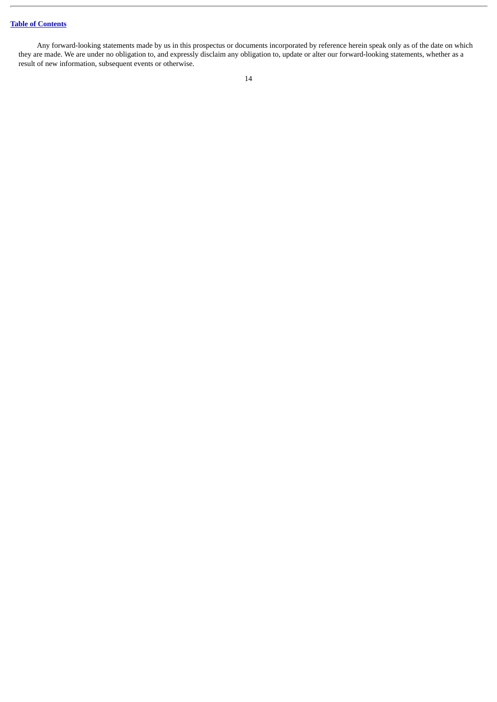Any forward-looking statements made by us in this prospectus or documents incorporated by reference herein speak only as of the date on which they are made. We are under no obligation to, and expressly disclaim any obligation to, update or alter our forward-looking statements, whether as a result of new information, subsequent events or otherwise.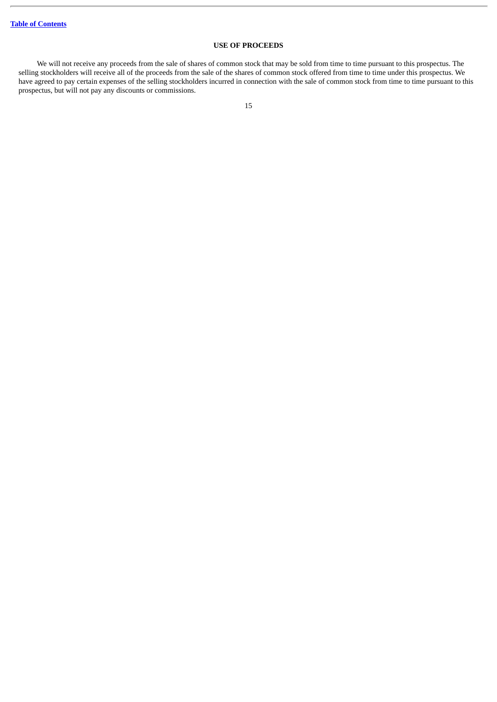## **USE OF PROCEEDS**

<span id="page-18-0"></span>We will not receive any proceeds from the sale of shares of common stock that may be sold from time to time pursuant to this prospectus. The selling stockholders will receive all of the proceeds from the sale of the shares of common stock offered from time to time under this prospectus. We have agreed to pay certain expenses of the selling stockholders incurred in connection with the sale of common stock from time to time pursuant to this prospectus, but will not pay any discounts or commissions.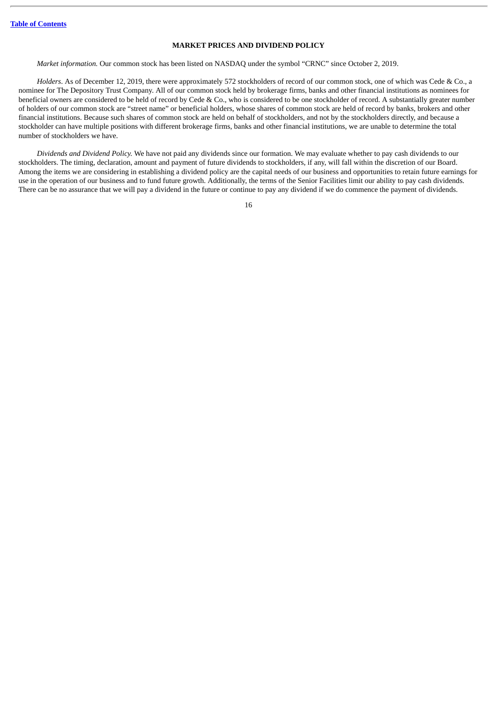## **MARKET PRICES AND DIVIDEND POLICY**

<span id="page-19-0"></span>*Market information.* Our common stock has been listed on NASDAQ under the symbol "CRNC" since October 2, 2019.

*Holders*. As of December 12, 2019, there were approximately 572 stockholders of record of our common stock, one of which was Cede & Co., a nominee for The Depository Trust Company. All of our common stock held by brokerage firms, banks and other financial institutions as nominees for beneficial owners are considered to be held of record by Cede & Co., who is considered to be one stockholder of record. A substantially greater number of holders of our common stock are "street name" or beneficial holders, whose shares of common stock are held of record by banks, brokers and other financial institutions. Because such shares of common stock are held on behalf of stockholders, and not by the stockholders directly, and because a stockholder can have multiple positions with different brokerage firms, banks and other financial institutions, we are unable to determine the total number of stockholders we have.

*Dividends and Dividend Policy.* We have not paid any dividends since our formation. We may evaluate whether to pay cash dividends to our stockholders. The timing, declaration, amount and payment of future dividends to stockholders, if any, will fall within the discretion of our Board. Among the items we are considering in establishing a dividend policy are the capital needs of our business and opportunities to retain future earnings for use in the operation of our business and to fund future growth. Additionally, the terms of the Senior Facilities limit our ability to pay cash dividends. There can be no assurance that we will pay a dividend in the future or continue to pay any dividend if we do commence the payment of dividends.

<sup>16</sup>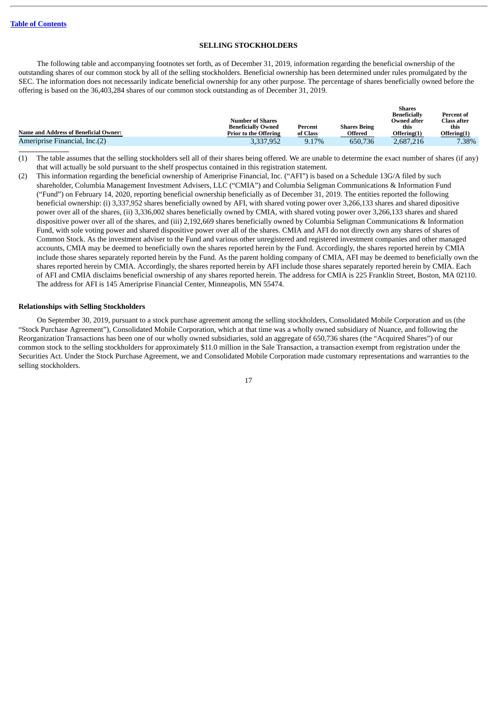#### **SELLING STOCKHOLDERS**

<span id="page-20-0"></span>The following table and accompanying footnotes set forth, as of December 31, 2019, information regarding the beneficial ownership of the outstanding shares of our common stock by all of the selling stockholders. Beneficial ownership has been determined under rules promulgated by the SEC. The information does not necessarily indicate beneficial ownership for any other purpose. The percentage of shares beneficially owned before the offering is based on the 36,403,284 shares of our common stock outstanding as of December 31, 2019.

|                                              |                              |          |                     | ---------<br><b>Beneficially</b> | Percent of         |
|----------------------------------------------|------------------------------|----------|---------------------|----------------------------------|--------------------|
|                                              | <b>Number of Shares</b>      |          |                     | Owned after                      | <b>Class after</b> |
|                                              | <b>Beneficially Owned</b>    | Percent  | <b>Shares Being</b> | this                             | this               |
| <b>Name and Address of Beneficial Owner:</b> | <b>Prior to the Offering</b> | of Class | Offered             | Offering(1)                      | Offering(1)        |
| Ameriprise Financial, Inc.(2)                | 3,337,952                    | 9.17%    | 650,736             | 2.687.216                        | 7.38%              |

**Shares**

(1) The table assumes that the selling stockholders sell all of their shares being offered. We are unable to determine the exact number of shares (if any) that will actually be sold pursuant to the shelf prospectus contained in this registration statement.

(2) This information regarding the beneficial ownership of Ameriprise Financial, Inc. ("AFI") is based on a Schedule 13G/A filed by such shareholder, Columbia Management Investment Advisers, LLC ("CMIA") and Columbia Seligman Communications & Information Fund ("Fund") on February 14, 2020, reporting beneficial ownership beneficially as of December 31, 2019. The entities reported the following beneficial ownership: (i) 3,337,952 shares beneficially owned by AFI, with shared voting power over 3,266,133 shares and shared dipositive power over all of the shares, (ii) 3,336,002 shares beneficially owned by CMIA, with shared voting power over 3,266,133 shares and shared dispositive power over all of the shares, and (iii) 2,192,669 shares beneficially owned by Columbia Seligman Communications & Information Fund, with sole voting power and shared dispositive power over all of the shares. CMIA and AFI do not directly own any shares of shares of Common Stock. As the investment adviser to the Fund and various other unregistered and registered investment companies and other managed accounts, CMIA may be deemed to beneficially own the shares reported herein by the Fund. Accordingly, the shares reported herein by CMIA include those shares separately reported herein by the Fund. As the parent holding company of CMIA, AFI may be deemed to beneficially own the shares reported herein by CMIA. Accordingly, the shares reported herein by AFI include those shares separately reported herein by CMIA. Each of AFI and CMIA disclaims beneficial ownership of any shares reported herein. The address for CMIA is 225 Franklin Street, Boston, MA 02110. The address for AFI is 145 Ameriprise Financial Center, Minneapolis, MN 55474.

#### **Relationships with Selling Stockholders**

On September 30, 2019, pursuant to a stock purchase agreement among the selling stockholders, Consolidated Mobile Corporation and us (the "Stock Purchase Agreement"), Consolidated Mobile Corporation, which at that time was a wholly owned subsidiary of Nuance, and following the Reorganization Transactions has been one of our wholly owned subsidiaries, sold an aggregate of 650,736 shares (the "Acquired Shares") of our common stock to the selling stockholders for approximately \$11.0 million in the Sale Transaction, a transaction exempt from registration under the Securities Act. Under the Stock Purchase Agreement, we and Consolidated Mobile Corporation made customary representations and warranties to the selling stockholders.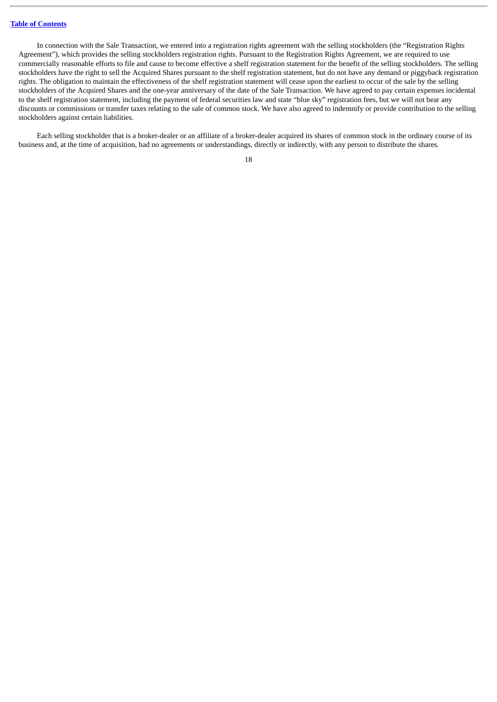In connection with the Sale Transaction, we entered into a registration rights agreement with the selling stockholders (the "Registration Rights Agreement"), which provides the selling stockholders registration rights. Pursuant to the Registration Rights Agreement, we are required to use commercially reasonable efforts to file and cause to become effective a shelf registration statement for the benefit of the selling stockholders. The selling stockholders have the right to sell the Acquired Shares pursuant to the shelf registration statement, but do not have any demand or piggyback registration rights. The obligation to maintain the effectiveness of the shelf registration statement will cease upon the earliest to occur of the sale by the selling stockholders of the Acquired Shares and the one-year anniversary of the date of the Sale Transaction. We have agreed to pay certain expenses incidental to the shelf registration statement, including the payment of federal securities law and state "blue sky" registration fees, but we will not bear any discounts or commissions or transfer taxes relating to the sale of common stock. We have also agreed to indemnify or provide contribution to the selling stockholders against certain liabilities.

Each selling stockholder that is a broker-dealer or an affiliate of a broker-dealer acquired its shares of common stock in the ordinary course of its business and, at the time of acquisition, had no agreements or understandings, directly or indirectly, with any person to distribute the shares.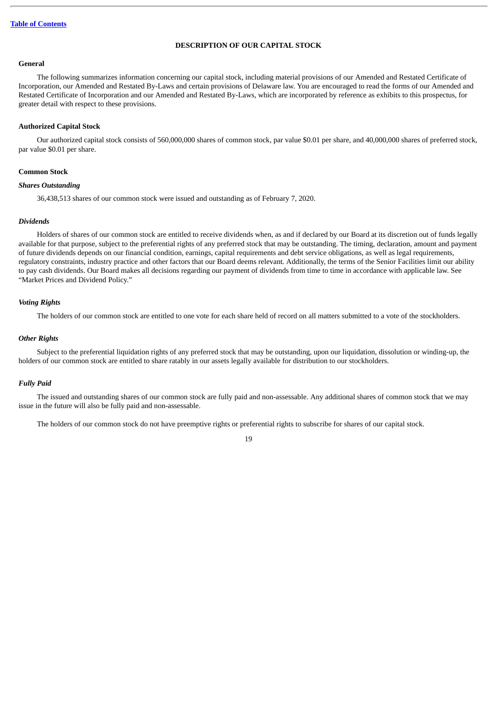#### **DESCRIPTION OF OUR CAPITAL STOCK**

#### <span id="page-22-0"></span>**General**

The following summarizes information concerning our capital stock, including material provisions of our Amended and Restated Certificate of Incorporation, our Amended and Restated By-Laws and certain provisions of Delaware law. You are encouraged to read the forms of our Amended and Restated Certificate of Incorporation and our Amended and Restated By-Laws, which are incorporated by reference as exhibits to this prospectus, for greater detail with respect to these provisions.

#### **Authorized Capital Stock**

Our authorized capital stock consists of 560,000,000 shares of common stock, par value \$0.01 per share, and 40,000,000 shares of preferred stock, par value \$0.01 per share.

#### **Common Stock**

#### *Shares Outstanding*

36,438,513 shares of our common stock were issued and outstanding as of February 7, 2020.

#### *Dividends*

Holders of shares of our common stock are entitled to receive dividends when, as and if declared by our Board at its discretion out of funds legally available for that purpose, subject to the preferential rights of any preferred stock that may be outstanding. The timing, declaration, amount and payment of future dividends depends on our financial condition, earnings, capital requirements and debt service obligations, as well as legal requirements, regulatory constraints, industry practice and other factors that our Board deems relevant. Additionally, the terms of the Senior Facilities limit our ability to pay cash dividends. Our Board makes all decisions regarding our payment of dividends from time to time in accordance with applicable law. See "Market Prices and Dividend Policy."

#### *Voting Rights*

The holders of our common stock are entitled to one vote for each share held of record on all matters submitted to a vote of the stockholders.

#### *Other Rights*

Subject to the preferential liquidation rights of any preferred stock that may be outstanding, upon our liquidation, dissolution or winding-up, the holders of our common stock are entitled to share ratably in our assets legally available for distribution to our stockholders.

#### *Fully Paid*

The issued and outstanding shares of our common stock are fully paid and non-assessable. Any additional shares of common stock that we may issue in the future will also be fully paid and non-assessable.

The holders of our common stock do not have preemptive rights or preferential rights to subscribe for shares of our capital stock.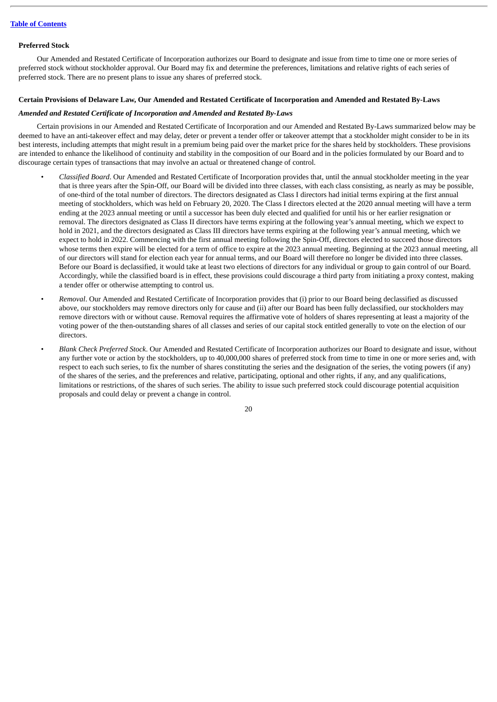#### **Preferred Stock**

Our Amended and Restated Certificate of Incorporation authorizes our Board to designate and issue from time to time one or more series of preferred stock without stockholder approval. Our Board may fix and determine the preferences, limitations and relative rights of each series of preferred stock. There are no present plans to issue any shares of preferred stock.

#### Certain Provisions of Delaware Law, Our Amended and Restated Certificate of Incorporation and Amended and Restated By-Laws

## *Amended and Restated Certificate of Incorporation and Amended and Restated By-Laws*

Certain provisions in our Amended and Restated Certificate of Incorporation and our Amended and Restated By-Laws summarized below may be deemed to have an anti-takeover effect and may delay, deter or prevent a tender offer or takeover attempt that a stockholder might consider to be in its best interests, including attempts that might result in a premium being paid over the market price for the shares held by stockholders. These provisions are intended to enhance the likelihood of continuity and stability in the composition of our Board and in the policies formulated by our Board and to discourage certain types of transactions that may involve an actual or threatened change of control.

- *Classified Board*. Our Amended and Restated Certificate of Incorporation provides that, until the annual stockholder meeting in the year that is three years after the Spin-Off, our Board will be divided into three classes, with each class consisting, as nearly as may be possible, of one-third of the total number of directors. The directors designated as Class I directors had initial terms expiring at the first annual meeting of stockholders, which was held on February 20, 2020. The Class I directors elected at the 2020 annual meeting will have a term ending at the 2023 annual meeting or until a successor has been duly elected and qualified for until his or her earlier resignation or removal. The directors designated as Class II directors have terms expiring at the following year's annual meeting, which we expect to hold in 2021, and the directors designated as Class III directors have terms expiring at the following year's annual meeting, which we expect to hold in 2022. Commencing with the first annual meeting following the Spin-Off, directors elected to succeed those directors whose terms then expire will be elected for a term of office to expire at the 2023 annual meeting. Beginning at the 2023 annual meeting, all of our directors will stand for election each year for annual terms, and our Board will therefore no longer be divided into three classes. Before our Board is declassified, it would take at least two elections of directors for any individual or group to gain control of our Board. Accordingly, while the classified board is in effect, these provisions could discourage a third party from initiating a proxy contest, making a tender offer or otherwise attempting to control us.
- *Removal*. Our Amended and Restated Certificate of Incorporation provides that (i) prior to our Board being declassified as discussed above, our stockholders may remove directors only for cause and (ii) after our Board has been fully declassified, our stockholders may remove directors with or without cause. Removal requires the affirmative vote of holders of shares representing at least a majority of the voting power of the then-outstanding shares of all classes and series of our capital stock entitled generally to vote on the election of our directors.
- *Blank Check Preferred Stock*. Our Amended and Restated Certificate of Incorporation authorizes our Board to designate and issue, without any further vote or action by the stockholders, up to 40,000,000 shares of preferred stock from time to time in one or more series and, with respect to each such series, to fix the number of shares constituting the series and the designation of the series, the voting powers (if any) of the shares of the series, and the preferences and relative, participating, optional and other rights, if any, and any qualifications, limitations or restrictions, of the shares of such series. The ability to issue such preferred stock could discourage potential acquisition proposals and could delay or prevent a change in control.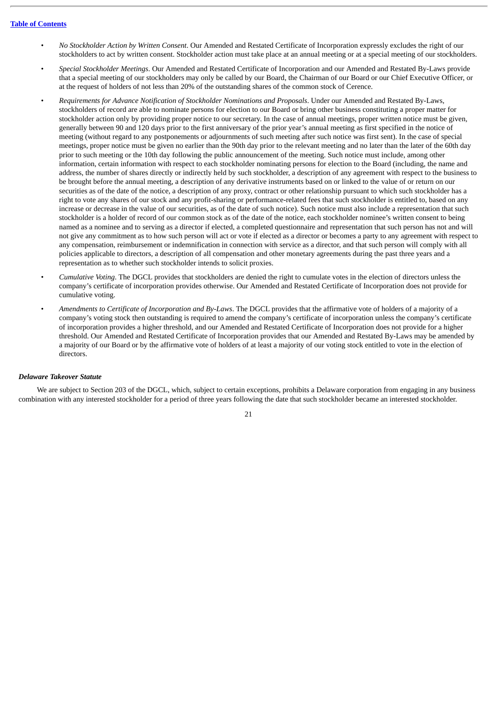- *No Stockholder Action by Written Consent*. Our Amended and Restated Certificate of Incorporation expressly excludes the right of our stockholders to act by written consent. Stockholder action must take place at an annual meeting or at a special meeting of our stockholders.
- *Special Stockholder Meetings*. Our Amended and Restated Certificate of Incorporation and our Amended and Restated By-Laws provide that a special meeting of our stockholders may only be called by our Board, the Chairman of our Board or our Chief Executive Officer, or at the request of holders of not less than 20% of the outstanding shares of the common stock of Cerence.
- *Requirements for Advance Notification of Stockholder Nominations and Proposals*. Under our Amended and Restated By-Laws, stockholders of record are able to nominate persons for election to our Board or bring other business constituting a proper matter for stockholder action only by providing proper notice to our secretary. In the case of annual meetings, proper written notice must be given, generally between 90 and 120 days prior to the first anniversary of the prior year's annual meeting as first specified in the notice of meeting (without regard to any postponements or adjournments of such meeting after such notice was first sent). In the case of special meetings, proper notice must be given no earlier than the 90th day prior to the relevant meeting and no later than the later of the 60th day prior to such meeting or the 10th day following the public announcement of the meeting. Such notice must include, among other information, certain information with respect to each stockholder nominating persons for election to the Board (including, the name and address, the number of shares directly or indirectly held by such stockholder, a description of any agreement with respect to the business to be brought before the annual meeting, a description of any derivative instruments based on or linked to the value of or return on our securities as of the date of the notice, a description of any proxy, contract or other relationship pursuant to which such stockholder has a right to vote any shares of our stock and any profit-sharing or performance-related fees that such stockholder is entitled to, based on any increase or decrease in the value of our securities, as of the date of such notice). Such notice must also include a representation that such stockholder is a holder of record of our common stock as of the date of the notice, each stockholder nominee's written consent to being named as a nominee and to serving as a director if elected, a completed questionnaire and representation that such person has not and will not give any commitment as to how such person will act or vote if elected as a director or becomes a party to any agreement with respect to any compensation, reimbursement or indemnification in connection with service as a director, and that such person will comply with all policies applicable to directors, a description of all compensation and other monetary agreements during the past three years and a representation as to whether such stockholder intends to solicit proxies.
- *Cumulative Voting*. The DGCL provides that stockholders are denied the right to cumulate votes in the election of directors unless the company's certificate of incorporation provides otherwise. Our Amended and Restated Certificate of Incorporation does not provide for cumulative voting.
- *Amendments to Certificate of Incorporation and By-Laws*. The DGCL provides that the affirmative vote of holders of a majority of a company's voting stock then outstanding is required to amend the company's certificate of incorporation unless the company's certificate of incorporation provides a higher threshold, and our Amended and Restated Certificate of Incorporation does not provide for a higher threshold. Our Amended and Restated Certificate of Incorporation provides that our Amended and Restated By-Laws may be amended by a majority of our Board or by the affirmative vote of holders of at least a majority of our voting stock entitled to vote in the election of directors.

#### *Delaware Takeover Statute*

We are subject to Section 203 of the DGCL, which, subject to certain exceptions, prohibits a Delaware corporation from engaging in any business combination with any interested stockholder for a period of three years following the date that such stockholder became an interested stockholder.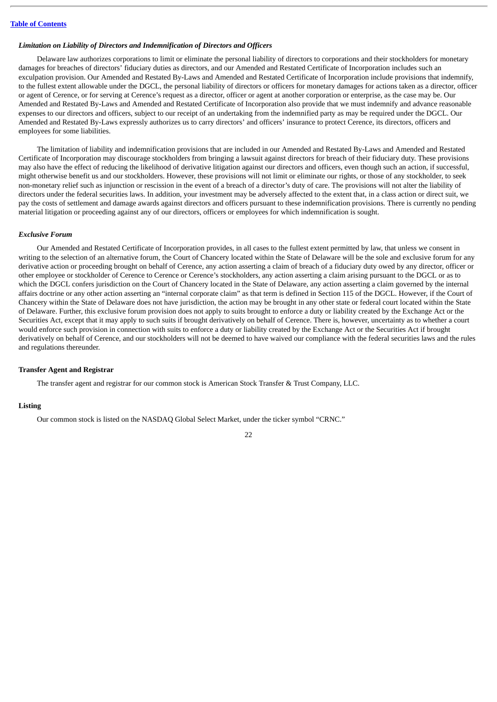#### *Limitation on Liability of Directors and Indemnification of Directors and Officers*

Delaware law authorizes corporations to limit or eliminate the personal liability of directors to corporations and their stockholders for monetary damages for breaches of directors' fiduciary duties as directors, and our Amended and Restated Certificate of Incorporation includes such an exculpation provision. Our Amended and Restated By-Laws and Amended and Restated Certificate of Incorporation include provisions that indemnify, to the fullest extent allowable under the DGCL, the personal liability of directors or officers for monetary damages for actions taken as a director, officer or agent of Cerence, or for serving at Cerence's request as a director, officer or agent at another corporation or enterprise, as the case may be. Our Amended and Restated By-Laws and Amended and Restated Certificate of Incorporation also provide that we must indemnify and advance reasonable expenses to our directors and officers, subject to our receipt of an undertaking from the indemnified party as may be required under the DGCL. Our Amended and Restated By-Laws expressly authorizes us to carry directors' and officers' insurance to protect Cerence, its directors, officers and employees for some liabilities.

The limitation of liability and indemnification provisions that are included in our Amended and Restated By-Laws and Amended and Restated Certificate of Incorporation may discourage stockholders from bringing a lawsuit against directors for breach of their fiduciary duty. These provisions may also have the effect of reducing the likelihood of derivative litigation against our directors and officers, even though such an action, if successful, might otherwise benefit us and our stockholders. However, these provisions will not limit or eliminate our rights, or those of any stockholder, to seek non-monetary relief such as injunction or rescission in the event of a breach of a director's duty of care. The provisions will not alter the liability of directors under the federal securities laws. In addition, your investment may be adversely affected to the extent that, in a class action or direct suit, we pay the costs of settlement and damage awards against directors and officers pursuant to these indemnification provisions. There is currently no pending material litigation or proceeding against any of our directors, officers or employees for which indemnification is sought.

## *Exclusive Forum*

Our Amended and Restated Certificate of Incorporation provides, in all cases to the fullest extent permitted by law, that unless we consent in writing to the selection of an alternative forum, the Court of Chancery located within the State of Delaware will be the sole and exclusive forum for any derivative action or proceeding brought on behalf of Cerence, any action asserting a claim of breach of a fiduciary duty owed by any director, officer or other employee or stockholder of Cerence to Cerence or Cerence's stockholders, any action asserting a claim arising pursuant to the DGCL or as to which the DGCL confers jurisdiction on the Court of Chancery located in the State of Delaware, any action asserting a claim governed by the internal affairs doctrine or any other action asserting an "internal corporate claim" as that term is defined in Section 115 of the DGCL. However, if the Court of Chancery within the State of Delaware does not have jurisdiction, the action may be brought in any other state or federal court located within the State of Delaware. Further, this exclusive forum provision does not apply to suits brought to enforce a duty or liability created by the Exchange Act or the Securities Act, except that it may apply to such suits if brought derivatively on behalf of Cerence. There is, however, uncertainty as to whether a court would enforce such provision in connection with suits to enforce a duty or liability created by the Exchange Act or the Securities Act if brought derivatively on behalf of Cerence, and our stockholders will not be deemed to have waived our compliance with the federal securities laws and the rules and regulations thereunder.

## **Transfer Agent and Registrar**

The transfer agent and registrar for our common stock is American Stock Transfer & Trust Company, LLC.

#### **Listing**

Our common stock is listed on the NASDAQ Global Select Market, under the ticker symbol "CRNC."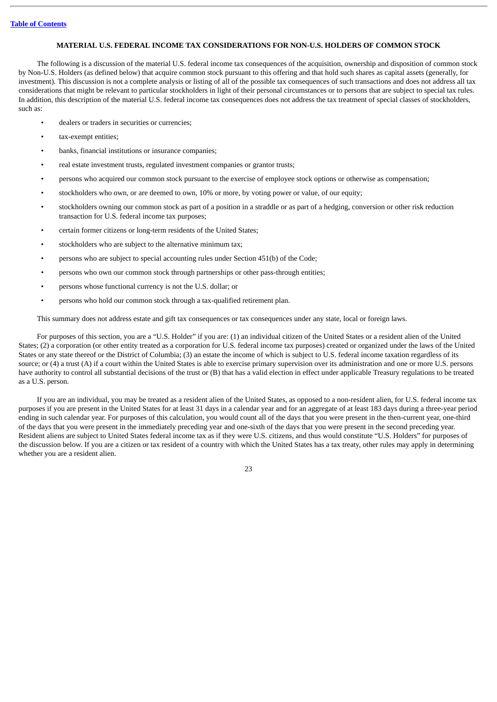## **MATERIAL U.S. FEDERAL INCOME TAX CONSIDERATIONS FOR NON-U.S. HOLDERS OF COMMON STOCK**

<span id="page-26-0"></span>The following is a discussion of the material U.S. federal income tax consequences of the acquisition, ownership and disposition of common stock by Non-U.S. Holders (as defined below) that acquire common stock pursuant to this offering and that hold such shares as capital assets (generally, for investment). This discussion is not a complete analysis or listing of all of the possible tax consequences of such transactions and does not address all tax considerations that might be relevant to particular stockholders in light of their personal circumstances or to persons that are subject to special tax rules. In addition, this description of the material U.S. federal income tax consequences does not address the tax treatment of special classes of stockholders, such as:

- dealers or traders in securities or currencies;
- tax-exempt entities;
- banks, financial institutions or insurance companies;
- real estate investment trusts, regulated investment companies or grantor trusts;
- persons who acquired our common stock pursuant to the exercise of employee stock options or otherwise as compensation;
- stockholders who own, or are deemed to own, 10% or more, by voting power or value, of our equity;
- stockholders owning our common stock as part of a position in a straddle or as part of a hedging, conversion or other risk reduction transaction for U.S. federal income tax purposes;
- certain former citizens or long-term residents of the United States;
- stockholders who are subject to the alternative minimum tax;
- persons who are subject to special accounting rules under Section 451(b) of the Code;
- persons who own our common stock through partnerships or other pass-through entities;
- persons whose functional currency is not the U.S. dollar; or
- persons who hold our common stock through a tax-qualified retirement plan.

This summary does not address estate and gift tax consequences or tax consequences under any state, local or foreign laws.

For purposes of this section, you are a "U.S. Holder" if you are: (1) an individual citizen of the United States or a resident alien of the United States; (2) a corporation (or other entity treated as a corporation for U.S. federal income tax purposes) created or organized under the laws of the United States or any state thereof or the District of Columbia; (3) an estate the income of which is subject to U.S. federal income taxation regardless of its source; or (4) a trust (A) if a court within the United States is able to exercise primary supervision over its administration and one or more U.S. persons have authority to control all substantial decisions of the trust or (B) that has a valid election in effect under applicable Treasury regulations to be treated as a U.S. person.

If you are an individual, you may be treated as a resident alien of the United States, as opposed to a non-resident alien, for U.S. federal income tax purposes if you are present in the United States for at least 31 days in a calendar year and for an aggregate of at least 183 days during a three-year period ending in such calendar year. For purposes of this calculation, you would count all of the days that you were present in the then-current year, one-third of the days that you were present in the immediately preceding year and one-sixth of the days that you were present in the second preceding year. Resident aliens are subject to United States federal income tax as if they were U.S. citizens, and thus would constitute "U.S. Holders" for purposes of the discussion below. If you are a citizen or tax resident of a country with which the United States has a tax treaty, other rules may apply in determining whether you are a resident alien.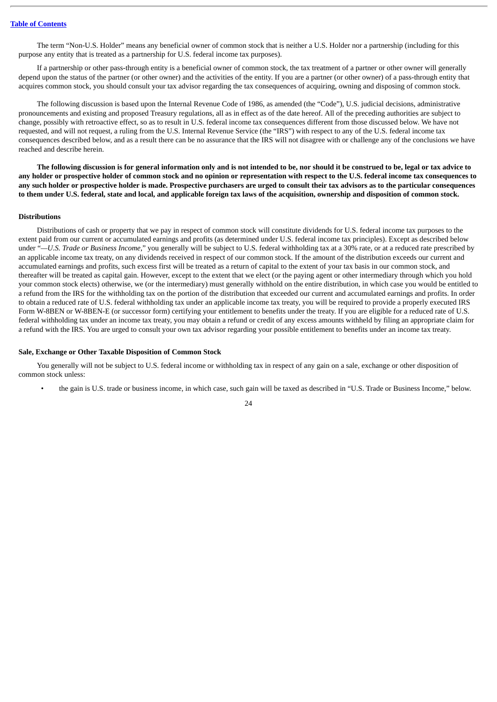The term "Non-U.S. Holder" means any beneficial owner of common stock that is neither a U.S. Holder nor a partnership (including for this purpose any entity that is treated as a partnership for U.S. federal income tax purposes).

If a partnership or other pass-through entity is a beneficial owner of common stock, the tax treatment of a partner or other owner will generally depend upon the status of the partner (or other owner) and the activities of the entity. If you are a partner (or other owner) of a pass-through entity that acquires common stock, you should consult your tax advisor regarding the tax consequences of acquiring, owning and disposing of common stock.

The following discussion is based upon the Internal Revenue Code of 1986, as amended (the "Code"), U.S. judicial decisions, administrative pronouncements and existing and proposed Treasury regulations, all as in effect as of the date hereof. All of the preceding authorities are subject to change, possibly with retroactive effect, so as to result in U.S. federal income tax consequences different from those discussed below. We have not requested, and will not request, a ruling from the U.S. Internal Revenue Service (the "IRS") with respect to any of the U.S. federal income tax consequences described below, and as a result there can be no assurance that the IRS will not disagree with or challenge any of the conclusions we have reached and describe herein.

The following discussion is for general information only and is not intended to be, nor should it be construed to be, legal or tax advice to any holder or prospective holder of common stock and no opinion or representation with respect to the U.S. federal income tax consequences to any such holder or prospective holder is made. Prospective purchasers are urged to consult their tax advisors as to the particular consequences to them under U.S. federal, state and local, and applicable foreign tax laws of the acquisition, ownership and disposition of common stock.

#### **Distributions**

Distributions of cash or property that we pay in respect of common stock will constitute dividends for U.S. federal income tax purposes to the extent paid from our current or accumulated earnings and profits (as determined under U.S. federal income tax principles). Except as described below under "*—U.S. Trade or Business Income*," you generally will be subject to U.S. federal withholding tax at a 30% rate, or at a reduced rate prescribed by an applicable income tax treaty, on any dividends received in respect of our common stock. If the amount of the distribution exceeds our current and accumulated earnings and profits, such excess first will be treated as a return of capital to the extent of your tax basis in our common stock, and thereafter will be treated as capital gain. However, except to the extent that we elect (or the paying agent or other intermediary through which you hold your common stock elects) otherwise, we (or the intermediary) must generally withhold on the entire distribution, in which case you would be entitled to a refund from the IRS for the withholding tax on the portion of the distribution that exceeded our current and accumulated earnings and profits. In order to obtain a reduced rate of U.S. federal withholding tax under an applicable income tax treaty, you will be required to provide a properly executed IRS Form W-8BEN or W-8BEN-E (or successor form) certifying your entitlement to benefits under the treaty. If you are eligible for a reduced rate of U.S. federal withholding tax under an income tax treaty, you may obtain a refund or credit of any excess amounts withheld by filing an appropriate claim for a refund with the IRS. You are urged to consult your own tax advisor regarding your possible entitlement to benefits under an income tax treaty.

#### **Sale, Exchange or Other Taxable Disposition of Common Stock**

You generally will not be subject to U.S. federal income or withholding tax in respect of any gain on a sale, exchange or other disposition of common stock unless:

• the gain is U.S. trade or business income, in which case, such gain will be taxed as described in "U.S. Trade or Business Income," below.

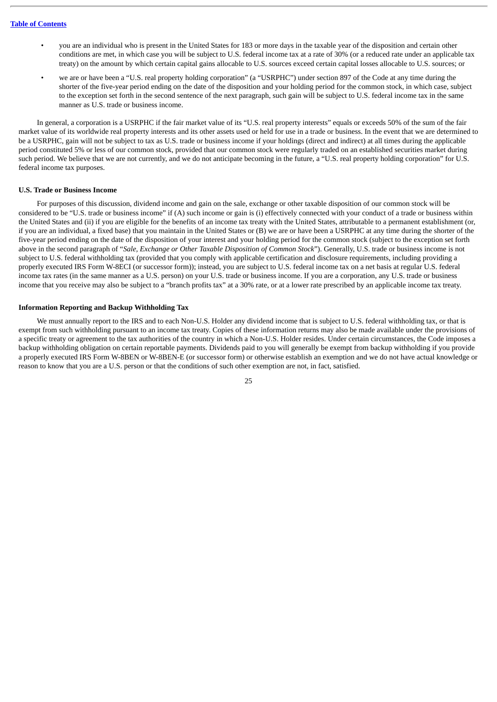- you are an individual who is present in the United States for 183 or more days in the taxable year of the disposition and certain other conditions are met, in which case you will be subject to U.S. federal income tax at a rate of 30% (or a reduced rate under an applicable tax treaty) on the amount by which certain capital gains allocable to U.S. sources exceed certain capital losses allocable to U.S. sources; or
- we are or have been a "U.S. real property holding corporation" (a "USRPHC") under section 897 of the Code at any time during the shorter of the five-year period ending on the date of the disposition and your holding period for the common stock, in which case, subject to the exception set forth in the second sentence of the next paragraph, such gain will be subject to U.S. federal income tax in the same manner as U.S. trade or business income.

In general, a corporation is a USRPHC if the fair market value of its "U.S. real property interests" equals or exceeds 50% of the sum of the fair market value of its worldwide real property interests and its other assets used or held for use in a trade or business. In the event that we are determined to be a USRPHC, gain will not be subject to tax as U.S. trade or business income if your holdings (direct and indirect) at all times during the applicable period constituted 5% or less of our common stock, provided that our common stock were regularly traded on an established securities market during such period. We believe that we are not currently, and we do not anticipate becoming in the future, a "U.S. real property holding corporation" for U.S. federal income tax purposes.

#### **U.S. Trade or Business Income**

For purposes of this discussion, dividend income and gain on the sale, exchange or other taxable disposition of our common stock will be considered to be "U.S. trade or business income" if (A) such income or gain is (i) effectively connected with your conduct of a trade or business within the United States and (ii) if you are eligible for the benefits of an income tax treaty with the United States, attributable to a permanent establishment (or, if you are an individual, a fixed base) that you maintain in the United States or (B) we are or have been a USRPHC at any time during the shorter of the five-year period ending on the date of the disposition of your interest and your holding period for the common stock (subject to the exception set forth above in the second paragraph of "*Sale, Exchange or Other Taxable Disposition of Common Stock*"). Generally, U.S. trade or business income is not subject to U.S. federal withholding tax (provided that you comply with applicable certification and disclosure requirements, including providing a properly executed IRS Form W-8ECI (or successor form)); instead, you are subject to U.S. federal income tax on a net basis at regular U.S. federal income tax rates (in the same manner as a U.S. person) on your U.S. trade or business income. If you are a corporation, any U.S. trade or business income that you receive may also be subject to a "branch profits tax" at a 30% rate, or at a lower rate prescribed by an applicable income tax treaty.

#### **Information Reporting and Backup Withholding Tax**

We must annually report to the IRS and to each Non-U.S. Holder any dividend income that is subject to U.S. federal withholding tax, or that is exempt from such withholding pursuant to an income tax treaty. Copies of these information returns may also be made available under the provisions of a specific treaty or agreement to the tax authorities of the country in which a Non-U.S. Holder resides. Under certain circumstances, the Code imposes a backup withholding obligation on certain reportable payments. Dividends paid to you will generally be exempt from backup withholding if you provide a properly executed IRS Form W-8BEN or W-8BEN-E (or successor form) or otherwise establish an exemption and we do not have actual knowledge or reason to know that you are a U.S. person or that the conditions of such other exemption are not, in fact, satisfied.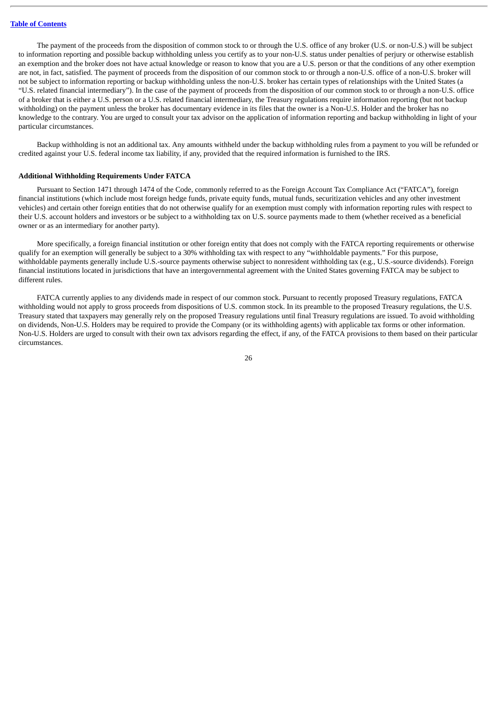The payment of the proceeds from the disposition of common stock to or through the U.S. office of any broker (U.S. or non-U.S.) will be subject to information reporting and possible backup withholding unless you certify as to your non-U.S. status under penalties of perjury or otherwise establish an exemption and the broker does not have actual knowledge or reason to know that you are a U.S. person or that the conditions of any other exemption are not, in fact, satisfied. The payment of proceeds from the disposition of our common stock to or through a non-U.S. office of a non-U.S. broker will not be subject to information reporting or backup withholding unless the non-U.S. broker has certain types of relationships with the United States (a "U.S. related financial intermediary"). In the case of the payment of proceeds from the disposition of our common stock to or through a non-U.S. office of a broker that is either a U.S. person or a U.S. related financial intermediary, the Treasury regulations require information reporting (but not backup withholding) on the payment unless the broker has documentary evidence in its files that the owner is a Non-U.S. Holder and the broker has no knowledge to the contrary. You are urged to consult your tax advisor on the application of information reporting and backup withholding in light of your particular circumstances.

Backup withholding is not an additional tax. Any amounts withheld under the backup withholding rules from a payment to you will be refunded or credited against your U.S. federal income tax liability, if any, provided that the required information is furnished to the IRS.

#### **Additional Withholding Requirements Under FATCA**

Pursuant to Section 1471 through 1474 of the Code, commonly referred to as the Foreign Account Tax Compliance Act ("FATCA"), foreign financial institutions (which include most foreign hedge funds, private equity funds, mutual funds, securitization vehicles and any other investment vehicles) and certain other foreign entities that do not otherwise qualify for an exemption must comply with information reporting rules with respect to their U.S. account holders and investors or be subject to a withholding tax on U.S. source payments made to them (whether received as a beneficial owner or as an intermediary for another party).

More specifically, a foreign financial institution or other foreign entity that does not comply with the FATCA reporting requirements or otherwise qualify for an exemption will generally be subject to a 30% withholding tax with respect to any "withholdable payments." For this purpose, withholdable payments generally include U.S.-source payments otherwise subject to nonresident withholding tax (e.g., U.S.-source dividends). Foreign financial institutions located in jurisdictions that have an intergovernmental agreement with the United States governing FATCA may be subject to different rules.

FATCA currently applies to any dividends made in respect of our common stock. Pursuant to recently proposed Treasury regulations, FATCA withholding would not apply to gross proceeds from dispositions of U.S. common stock. In its preamble to the proposed Treasury regulations, the U.S. Treasury stated that taxpayers may generally rely on the proposed Treasury regulations until final Treasury regulations are issued. To avoid withholding on dividends, Non-U.S. Holders may be required to provide the Company (or its withholding agents) with applicable tax forms or other information. Non-U.S. Holders are urged to consult with their own tax advisors regarding the effect, if any, of the FATCA provisions to them based on their particular circumstances.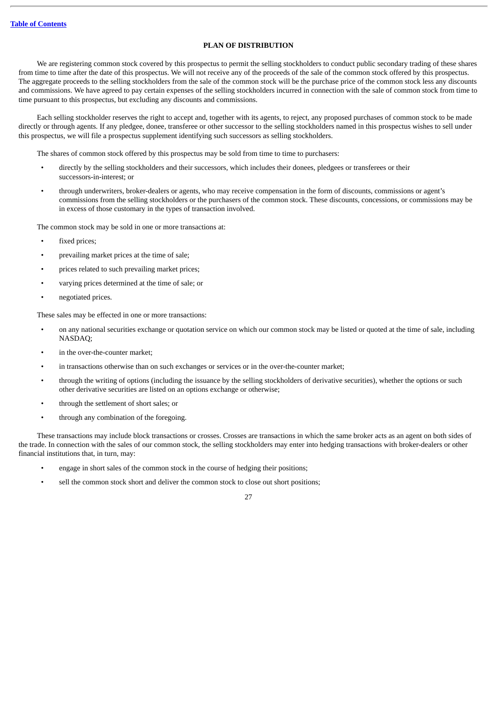## **PLAN OF DISTRIBUTION**

<span id="page-30-0"></span>We are registering common stock covered by this prospectus to permit the selling stockholders to conduct public secondary trading of these shares from time to time after the date of this prospectus. We will not receive any of the proceeds of the sale of the common stock offered by this prospectus. The aggregate proceeds to the selling stockholders from the sale of the common stock will be the purchase price of the common stock less any discounts and commissions. We have agreed to pay certain expenses of the selling stockholders incurred in connection with the sale of common stock from time to time pursuant to this prospectus, but excluding any discounts and commissions.

Each selling stockholder reserves the right to accept and, together with its agents, to reject, any proposed purchases of common stock to be made directly or through agents. If any pledgee, donee, transferee or other successor to the selling stockholders named in this prospectus wishes to sell under this prospectus, we will file a prospectus supplement identifying such successors as selling stockholders.

The shares of common stock offered by this prospectus may be sold from time to time to purchasers:

- directly by the selling stockholders and their successors, which includes their donees, pledgees or transferees or their successors-in-interest; or
- through underwriters, broker-dealers or agents, who may receive compensation in the form of discounts, commissions or agent's commissions from the selling stockholders or the purchasers of the common stock. These discounts, concessions, or commissions may be in excess of those customary in the types of transaction involved.

The common stock may be sold in one or more transactions at:

- fixed prices;
- prevailing market prices at the time of sale;
- prices related to such prevailing market prices;
- varying prices determined at the time of sale; or
- negotiated prices.

These sales may be effected in one or more transactions:

- on any national securities exchange or quotation service on which our common stock may be listed or quoted at the time of sale, including NASDAQ;
- in the over-the-counter market;
- in transactions otherwise than on such exchanges or services or in the over-the-counter market;
- through the writing of options (including the issuance by the selling stockholders of derivative securities), whether the options or such other derivative securities are listed on an options exchange or otherwise;
- through the settlement of short sales; or
- through any combination of the foregoing.

These transactions may include block transactions or crosses. Crosses are transactions in which the same broker acts as an agent on both sides of the trade. In connection with the sales of our common stock, the selling stockholders may enter into hedging transactions with broker-dealers or other financial institutions that, in turn, may:

- engage in short sales of the common stock in the course of hedging their positions;
- sell the common stock short and deliver the common stock to close out short positions;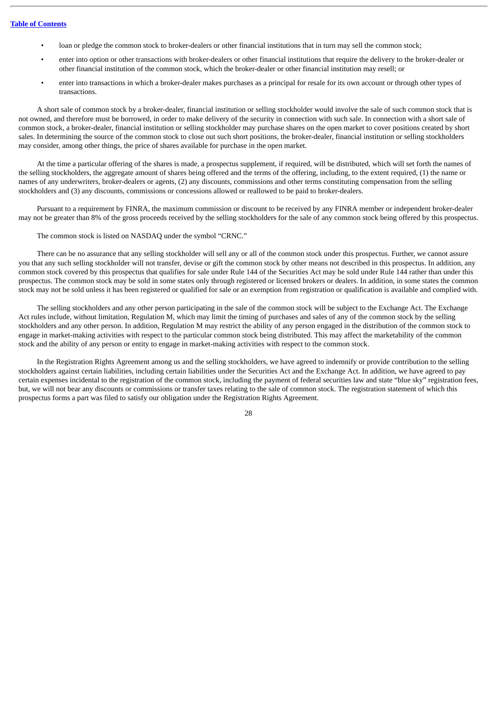- loan or pledge the common stock to broker-dealers or other financial institutions that in turn may sell the common stock;
- enter into option or other transactions with broker-dealers or other financial institutions that require the delivery to the broker-dealer or other financial institution of the common stock, which the broker-dealer or other financial institution may resell; or
- enter into transactions in which a broker-dealer makes purchases as a principal for resale for its own account or through other types of transactions.

A short sale of common stock by a broker-dealer, financial institution or selling stockholder would involve the sale of such common stock that is not owned, and therefore must be borrowed, in order to make delivery of the security in connection with such sale. In connection with a short sale of common stock, a broker-dealer, financial institution or selling stockholder may purchase shares on the open market to cover positions created by short sales. In determining the source of the common stock to close out such short positions, the broker-dealer, financial institution or selling stockholders may consider, among other things, the price of shares available for purchase in the open market.

At the time a particular offering of the shares is made, a prospectus supplement, if required, will be distributed, which will set forth the names of the selling stockholders, the aggregate amount of shares being offered and the terms of the offering, including, to the extent required, (1) the name or names of any underwriters, broker-dealers or agents, (2) any discounts, commissions and other terms constituting compensation from the selling stockholders and (3) any discounts, commissions or concessions allowed or reallowed to be paid to broker-dealers.

Pursuant to a requirement by FINRA, the maximum commission or discount to be received by any FINRA member or independent broker-dealer may not be greater than 8% of the gross proceeds received by the selling stockholders for the sale of any common stock being offered by this prospectus.

The common stock is listed on NASDAQ under the symbol "CRNC."

There can be no assurance that any selling stockholder will sell any or all of the common stock under this prospectus. Further, we cannot assure you that any such selling stockholder will not transfer, devise or gift the common stock by other means not described in this prospectus. In addition, any common stock covered by this prospectus that qualifies for sale under Rule 144 of the Securities Act may be sold under Rule 144 rather than under this prospectus. The common stock may be sold in some states only through registered or licensed brokers or dealers. In addition, in some states the common stock may not be sold unless it has been registered or qualified for sale or an exemption from registration or qualification is available and complied with.

The selling stockholders and any other person participating in the sale of the common stock will be subject to the Exchange Act. The Exchange Act rules include, without limitation, Regulation M, which may limit the timing of purchases and sales of any of the common stock by the selling stockholders and any other person. In addition, Regulation M may restrict the ability of any person engaged in the distribution of the common stock to engage in market-making activities with respect to the particular common stock being distributed. This may affect the marketability of the common stock and the ability of any person or entity to engage in market-making activities with respect to the common stock.

In the Registration Rights Agreement among us and the selling stockholders, we have agreed to indemnify or provide contribution to the selling stockholders against certain liabilities, including certain liabilities under the Securities Act and the Exchange Act. In addition, we have agreed to pay certain expenses incidental to the registration of the common stock, including the payment of federal securities law and state "blue sky" registration fees, but, we will not bear any discounts or commissions or transfer taxes relating to the sale of common stock. The registration statement of which this prospectus forms a part was filed to satisfy our obligation under the Registration Rights Agreement.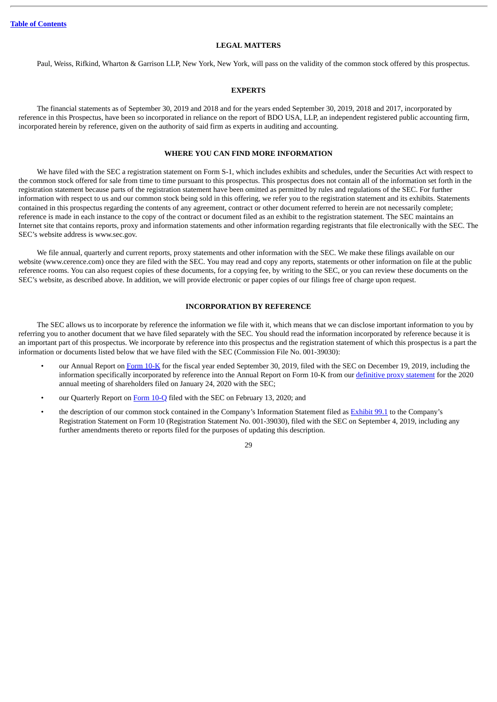#### **LEGAL MATTERS**

<span id="page-32-0"></span>Paul, Weiss, Rifkind, Wharton & Garrison LLP, New York, New York, will pass on the validity of the common stock offered by this prospectus.

#### **EXPERTS**

<span id="page-32-1"></span>The financial statements as of September 30, 2019 and 2018 and for the years ended September 30, 2019, 2018 and 2017, incorporated by reference in this Prospectus, have been so incorporated in reliance on the report of BDO USA, LLP, an independent registered public accounting firm, incorporated herein by reference, given on the authority of said firm as experts in auditing and accounting.

## **WHERE YOU CAN FIND MORE INFORMATION**

<span id="page-32-2"></span>We have filed with the SEC a registration statement on Form S-1, which includes exhibits and schedules, under the Securities Act with respect to the common stock offered for sale from time to time pursuant to this prospectus. This prospectus does not contain all of the information set forth in the registration statement because parts of the registration statement have been omitted as permitted by rules and regulations of the SEC. For further information with respect to us and our common stock being sold in this offering, we refer you to the registration statement and its exhibits. Statements contained in this prospectus regarding the contents of any agreement, contract or other document referred to herein are not necessarily complete; reference is made in each instance to the copy of the contract or document filed as an exhibit to the registration statement. The SEC maintains an Internet site that contains reports, proxy and information statements and other information regarding registrants that file electronically with the SEC. The SEC's website address is www.sec.gov.

We file annual, quarterly and current reports, proxy statements and other information with the SEC. We make these filings available on our website (www.cerence.com) once they are filed with the SEC. You may read and copy any reports, statements or other information on file at the public reference rooms. You can also request copies of these documents, for a copying fee, by writing to the SEC, or you can review these documents on the SEC's website, as described above. In addition, we will provide electronic or paper copies of our filings free of charge upon request.

## **INCORPORATION BY REFERENCE**

<span id="page-32-3"></span>The SEC allows us to incorporate by reference the information we file with it, which means that we can disclose important information to you by referring you to another document that we have filed separately with the SEC. You should read the information incorporated by reference because it is an important part of this prospectus. We incorporate by reference into this prospectus and the registration statement of which this prospectus is a part the information or documents listed below that we have filed with the SEC (Commission File No. 001-39030):

- our Annual Report on [Form](http://www.sec.gov/Archives/edgar/data/1768267/000156459019046399/crnc-10k_20190930.htm) 10-K for the fiscal year ended September 30, 2019, filed with the SEC on December 19, 2019, including the information specifically incorporated by reference into the Annual Report on Form 10-K from our definitive proxy [statement](http://www.sec.gov/Archives/edgar/data/1768267/000119312520014114/d824123ddef14a.htm) for the 2020 annual meeting of shareholders filed on January 24, 2020 with the SEC;
- our Quarterly Report on [Form](http://www.sec.gov/Archives/edgar/data/1768267/000156459020004630/crnc-10q_20191231.htm) 10-Q filed with the SEC on February 13, 2020; and
- the description of our common stock contained in the Company's Information Statement filed as [Exhibit](http://www.sec.gov/Archives/edgar/data/1768267/000119312519237809/d746279dex991.htm) 99.1 to the Company's Registration Statement on Form 10 (Registration Statement No. 001-39030), filed with the SEC on September 4, 2019, including any further amendments thereto or reports filed for the purposes of updating this description.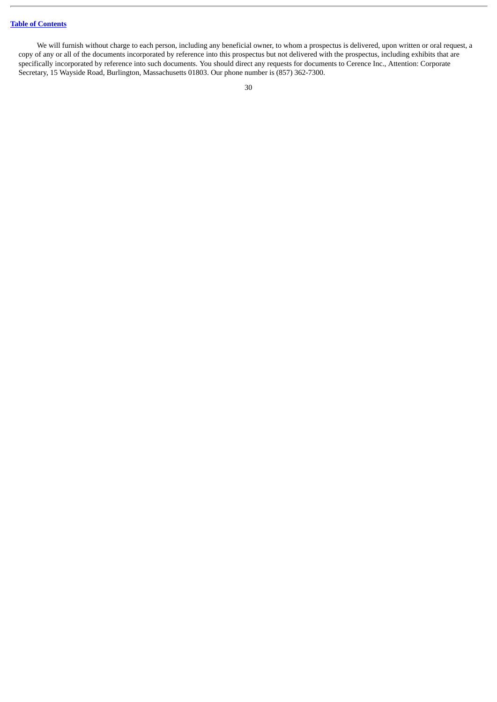We will furnish without charge to each person, including any beneficial owner, to whom a prospectus is delivered, upon written or oral request, a copy of any or all of the documents incorporated by reference into this prospectus but not delivered with the prospectus, including exhibits that are specifically incorporated by reference into such documents. You should direct any requests for documents to Cerence Inc., Attention: Corporate Secretary, 15 Wayside Road, Burlington, Massachusetts 01803. Our phone number is (857) 362-7300.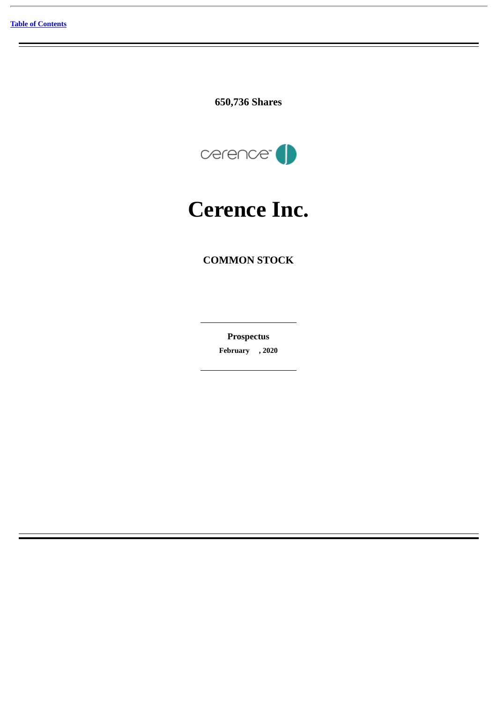**650,736 Shares**



# **Cerence Inc.**

# **COMMON STOCK**

**Prospectus February , 2020**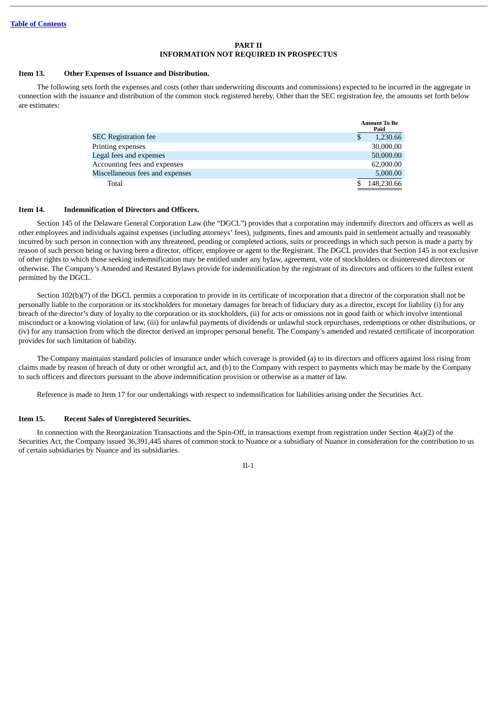#### **PART II INFORMATION NOT REQUIRED IN PROSPECTUS**

#### **Item 13. Other Expenses of Issuance and Distribution.**

The following sets forth the expenses and costs (other than underwriting discounts and commissions) expected to be incurred in the aggregate in connection with the issuance and distribution of the common stock registered hereby. Other than the SEC registration fee, the amounts set forth below are estimates:

|                                 | <b>Amount To Be</b><br>Paid |  |
|---------------------------------|-----------------------------|--|
| <b>SEC Registration fee</b>     | 1,230.66<br>\$              |  |
| Printing expenses               | 30,000.00                   |  |
| Legal fees and expenses         | 50,000.00                   |  |
| Accounting fees and expenses    | 62,000.00                   |  |
| Miscellaneous fees and expenses | 5,000.00                    |  |
| Total                           | 148,230.66                  |  |

#### **Item 14. Indemnification of Directors and Officers.**

Section 145 of the Delaware General Corporation Law (the "DGCL") provides that a corporation may indemnify directors and officers as well as other employees and individuals against expenses (including attorneys' fees), judgments, fines and amounts paid in settlement actually and reasonably incurred by such person in connection with any threatened, pending or completed actions, suits or proceedings in which such person is made a party by reason of such person being or having been a director, officer, employee or agent to the Registrant. The DGCL provides that Section 145 is not exclusive of other rights to which those seeking indemnification may be entitled under any bylaw, agreement, vote of stockholders or disinterested directors or otherwise. The Company's Amended and Restated Bylaws provide for indemnification by the registrant of its directors and officers to the fullest extent permitted by the DGCL.

Section 102(b)(7) of the DGCL permits a corporation to provide in its certificate of incorporation that a director of the corporation shall not be personally liable to the corporation or its stockholders for monetary damages for breach of fiduciary duty as a director, except for liability (i) for any breach of the director's duty of loyalty to the corporation or its stockholders, (ii) for acts or omissions not in good faith or which involve intentional misconduct or a knowing violation of law, (iii) for unlawful payments of dividends or unlawful stock repurchases, redemptions or other distributions, or (iv) for any transaction from which the director derived an improper personal benefit. The Company's amended and restated certificate of incorporation provides for such limitation of liability.

The Company maintains standard policies of insurance under which coverage is provided (a) to its directors and officers against loss rising from claims made by reason of breach of duty or other wrongful act, and (b) to the Company with respect to payments which may be made by the Company to such officers and directors pursuant to the above indemnification provision or otherwise as a matter of law.

Reference is made to Item 17 for our undertakings with respect to indemnification for liabilities arising under the Securities Act.

#### **Item 15. Recent Sales of Unregistered Securities.**

In connection with the Reorganization Transactions and the Spin-Off, in transactions exempt from registration under Section 4(a)(2) of the Securities Act, the Company issued 36,391,445 shares of common stock to Nuance or a subsidiary of Nuance in consideration for the contribution to us of certain subsidiaries by Nuance and its subsidiaries.

II-1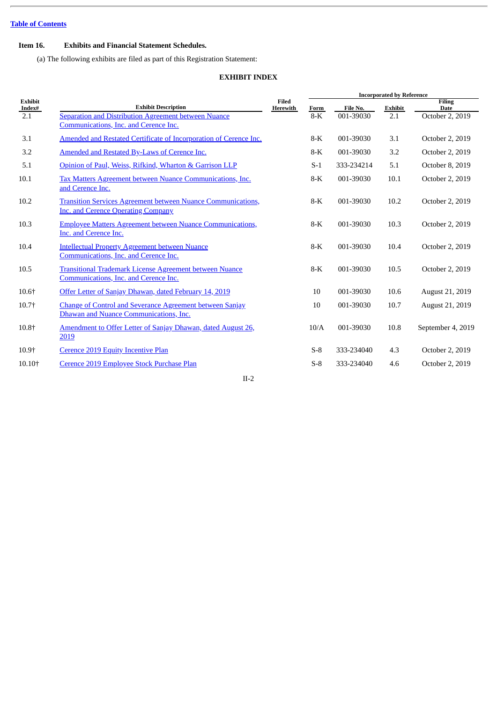## **Item 16. Exhibits and Financial Statement Schedules.**

(a) The following exhibits are filed as part of this Registration Statement:

## **EXHIBIT INDEX**

|                          |                                                                                                                  |                   | <b>Incorporated by Reference</b> |            |                |                              |
|--------------------------|------------------------------------------------------------------------------------------------------------------|-------------------|----------------------------------|------------|----------------|------------------------------|
| <b>Exhibit</b><br>Index# | <b>Exhibit Description</b>                                                                                       | Filed<br>Herewith | Form                             | File No.   | <b>Exhibit</b> | <b>Filing</b><br><b>Date</b> |
| 2.1                      | Separation and Distribution Agreement between Nuance<br>Communications, Inc. and Cerence Inc.                    |                   | $8-K$                            | 001-39030  | 2.1            | October 2, 2019              |
| 3.1                      | Amended and Restated Certificate of Incorporation of Cerence Inc.                                                |                   | $8-K$                            | 001-39030  | 3.1            | October 2, 2019              |
| 3.2                      | Amended and Restated By-Laws of Cerence Inc.                                                                     |                   | $8-K$                            | 001-39030  | 3.2            | October 2, 2019              |
| 5.1                      | Opinion of Paul, Weiss, Rifkind, Wharton & Garrison LLP                                                          |                   | $S-1$                            | 333-234214 | 5.1            | October 8, 2019              |
| 10.1                     | <b>Tax Matters Agreement between Nuance Communications, Inc.</b><br>and Cerence Inc.                             |                   | $8-K$                            | 001-39030  | 10.1           | October 2, 2019              |
| 10.2                     | <b>Transition Services Agreement between Nuance Communications,</b><br><b>Inc. and Cerence Operating Company</b> |                   | $8-K$                            | 001-39030  | 10.2           | October 2, 2019              |
| 10.3                     | <b>Employee Matters Agreement between Nuance Communications,</b><br>Inc. and Cerence Inc.                        |                   | $8-K$                            | 001-39030  | 10.3           | October 2, 2019              |
| 10.4                     | <b>Intellectual Property Agreement between Nuance</b><br>Communications, Inc. and Cerence Inc.                   |                   | $8-K$                            | 001-39030  | 10.4           | October 2, 2019              |
| 10.5                     | <b>Transitional Trademark License Agreement between Nuance</b><br>Communications, Inc. and Cerence Inc.          |                   | $8-K$                            | 001-39030  | 10.5           | October 2, 2019              |
| 10.6+                    | Offer Letter of Sanjay Dhawan, dated February 14, 2019                                                           |                   | 10                               | 001-39030  | 10.6           | August 21, 2019              |
| 10.7+                    | <b>Change of Control and Severance Agreement between Sanjay</b><br>Dhawan and Nuance Communications, Inc.        |                   | 10                               | 001-39030  | 10.7           | August 21, 2019              |
| 10.8+                    | Amendment to Offer Letter of Sanjay Dhawan, dated August 26,<br>2019                                             |                   | 10/A                             | 001-39030  | 10.8           | September 4, 2019            |
| 10.9+                    | <b>Cerence 2019 Equity Incentive Plan</b>                                                                        |                   | $S-8$                            | 333-234040 | 4.3            | October 2, 2019              |
| 10.10+                   | Cerence 2019 Employee Stock Purchase Plan                                                                        |                   | $S-8$                            | 333-234040 | 4.6            | October 2, 2019              |
|                          |                                                                                                                  |                   |                                  |            |                |                              |

II-2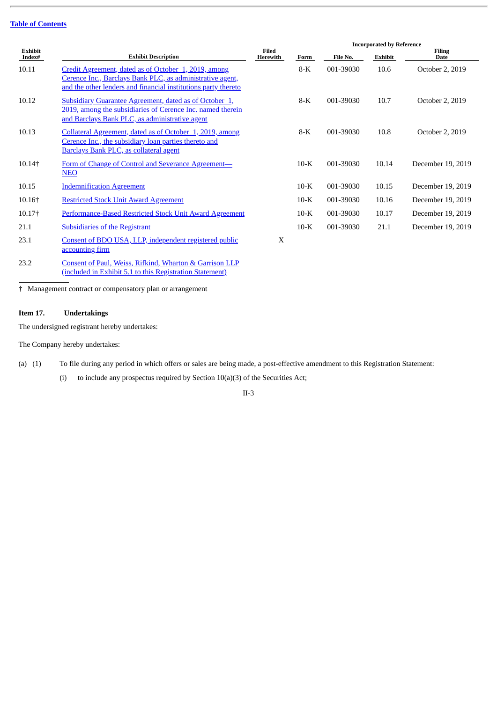|                          |                                                                                                                                                                                     |                          | <b>Incorporated by Reference</b> |           |         |                              |  |
|--------------------------|-------------------------------------------------------------------------------------------------------------------------------------------------------------------------------------|--------------------------|----------------------------------|-----------|---------|------------------------------|--|
| <b>Exhibit</b><br>Index# | <b>Exhibit Description</b>                                                                                                                                                          | <b>Filed</b><br>Herewith | Form                             | File No.  | Exhibit | <b>Filing</b><br><b>Date</b> |  |
| 10.11                    | Credit Agreement, dated as of October 1, 2019, among<br>Cerence Inc., Barclays Bank PLC, as administrative agent,<br>and the other lenders and financial institutions party thereto |                          | $8-K$                            | 001-39030 | 10.6    | October 2, 2019              |  |
| 10.12                    | <b>Subsidiary Guarantee Agreement, dated as of October 1,</b><br>2019, among the subsidiaries of Cerence Inc. named therein<br>and Barclays Bank PLC, as administrative agent       |                          | $8-K$                            | 001-39030 | 10.7    | October 2, 2019              |  |
| 10.13                    | Collateral Agreement, dated as of October 1, 2019, among<br>Cerence Inc., the subsidiary loan parties thereto and<br><b>Barclays Bank PLC, as collateral agent</b>                  |                          | $8-K$                            | 001-39030 | 10.8    | October 2, 2019              |  |
| 10.14+                   | Form of Change of Control and Severance Agreement-<br><b>NEO</b>                                                                                                                    |                          | $10-K$                           | 001-39030 | 10.14   | December 19, 2019            |  |
| 10.15                    | <b>Indemnification Agreement</b>                                                                                                                                                    |                          | $10-K$                           | 001-39030 | 10.15   | December 19, 2019            |  |
| 10.16+                   | <b>Restricted Stock Unit Award Agreement</b>                                                                                                                                        |                          | $10-K$                           | 001-39030 | 10.16   | December 19, 2019            |  |
| 10.17†                   | Performance-Based Restricted Stock Unit Award Agreement                                                                                                                             |                          | $10-K$                           | 001-39030 | 10.17   | December 19, 2019            |  |
| 21.1                     | <b>Subsidiaries of the Registrant</b>                                                                                                                                               |                          | $10-K$                           | 001-39030 | 21.1    | December 19, 2019            |  |
| 23.1                     | Consent of BDO USA, LLP, independent registered public<br>accounting firm                                                                                                           | X                        |                                  |           |         |                              |  |
| 23.2                     | Consent of Paul, Weiss, Rifkind, Wharton & Garrison LLP                                                                                                                             |                          |                                  |           |         |                              |  |

(included in Exhibit 5.1 to this [Registration](http://www.sec.gov/Archives/edgar/data/1768267/000119312519267782/d807136dex51.htm) Statement)

† Management contract or compensatory plan or arrangement

## **Item 17. Undertakings**

The undersigned registrant hereby undertakes:

The Company hereby undertakes:

- (a) (1) To file during any period in which offers or sales are being made, a post-effective amendment to this Registration Statement:
	- (i) to include any prospectus required by Section  $10(a)(3)$  of the Securities Act;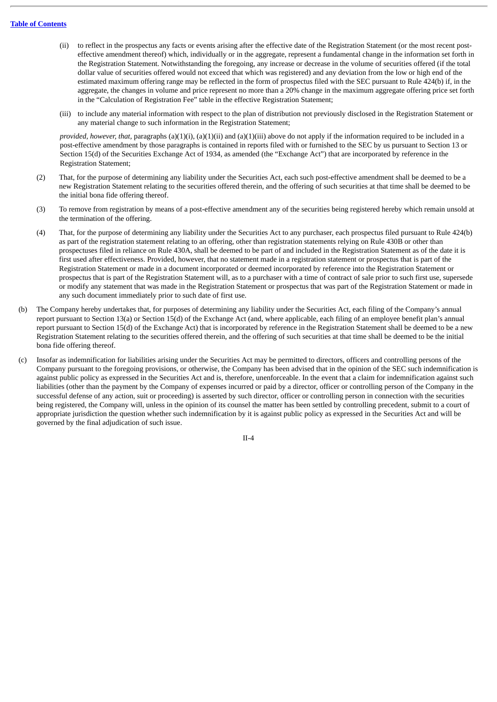- (ii) to reflect in the prospectus any facts or events arising after the effective date of the Registration Statement (or the most recent posteffective amendment thereof) which, individually or in the aggregate, represent a fundamental change in the information set forth in the Registration Statement. Notwithstanding the foregoing, any increase or decrease in the volume of securities offered (if the total dollar value of securities offered would not exceed that which was registered) and any deviation from the low or high end of the estimated maximum offering range may be reflected in the form of prospectus filed with the SEC pursuant to Rule 424(b) if, in the aggregate, the changes in volume and price represent no more than a 20% change in the maximum aggregate offering price set forth in the "Calculation of Registration Fee" table in the effective Registration Statement;
- (iii) to include any material information with respect to the plan of distribution not previously disclosed in the Registration Statement or any material change to such information in the Registration Statement;

*provided, however, that,* paragraphs (a)(1)(i), (a)(1)(ii) and (a)(1)(iii) above do not apply if the information required to be included in a post-effective amendment by those paragraphs is contained in reports filed with or furnished to the SEC by us pursuant to Section 13 or Section 15(d) of the Securities Exchange Act of 1934, as amended (the "Exchange Act") that are incorporated by reference in the Registration Statement;

- (2) That, for the purpose of determining any liability under the Securities Act, each such post-effective amendment shall be deemed to be a new Registration Statement relating to the securities offered therein, and the offering of such securities at that time shall be deemed to be the initial bona fide offering thereof.
- (3) To remove from registration by means of a post-effective amendment any of the securities being registered hereby which remain unsold at the termination of the offering.
- (4) That, for the purpose of determining any liability under the Securities Act to any purchaser, each prospectus filed pursuant to Rule 424(b) as part of the registration statement relating to an offering, other than registration statements relying on Rule 430B or other than prospectuses filed in reliance on Rule 430A, shall be deemed to be part of and included in the Registration Statement as of the date it is first used after effectiveness. Provided, however, that no statement made in a registration statement or prospectus that is part of the Registration Statement or made in a document incorporated or deemed incorporated by reference into the Registration Statement or prospectus that is part of the Registration Statement will, as to a purchaser with a time of contract of sale prior to such first use, supersede or modify any statement that was made in the Registration Statement or prospectus that was part of the Registration Statement or made in any such document immediately prior to such date of first use.
- (b) The Company hereby undertakes that, for purposes of determining any liability under the Securities Act, each filing of the Company's annual report pursuant to Section 13(a) or Section 15(d) of the Exchange Act (and, where applicable, each filing of an employee benefit plan's annual report pursuant to Section 15(d) of the Exchange Act) that is incorporated by reference in the Registration Statement shall be deemed to be a new Registration Statement relating to the securities offered therein, and the offering of such securities at that time shall be deemed to be the initial bona fide offering thereof.
- (c) Insofar as indemnification for liabilities arising under the Securities Act may be permitted to directors, officers and controlling persons of the Company pursuant to the foregoing provisions, or otherwise, the Company has been advised that in the opinion of the SEC such indemnification is against public policy as expressed in the Securities Act and is, therefore, unenforceable. In the event that a claim for indemnification against such liabilities (other than the payment by the Company of expenses incurred or paid by a director, officer or controlling person of the Company in the successful defense of any action, suit or proceeding) is asserted by such director, officer or controlling person in connection with the securities being registered, the Company will, unless in the opinion of its counsel the matter has been settled by controlling precedent, submit to a court of appropriate jurisdiction the question whether such indemnification by it is against public policy as expressed in the Securities Act and will be governed by the final adjudication of such issue.

II-4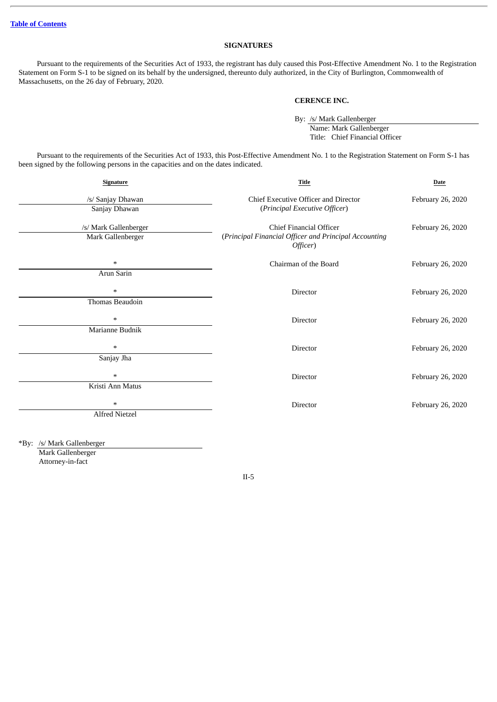## **SIGNATURES**

Pursuant to the requirements of the Securities Act of 1933, the registrant has duly caused this Post-Effective Amendment No. 1 to the Registration Statement on Form S-1 to be signed on its behalf by the undersigned, thereunto duly authorized, in the City of Burlington, Commonwealth of Massachusetts, on the 26 day of February, 2020.

## **CERENCE INC.**

By: /s/ Mark Gallenberger Name: Mark Gallenberger Title: Chief Financial Officer

Pursuant to the requirements of the Securities Act of 1933, this Post-Effective Amendment No. 1 to the Registration Statement on Form S-1 has been signed by the following persons in the capacities and on the dates indicated.

| <b>Signature</b>                           | Title                                                                                        | <b>Date</b>       |  |
|--------------------------------------------|----------------------------------------------------------------------------------------------|-------------------|--|
| /s/ Sanjay Dhawan<br>Sanjay Dhawan         | Chief Executive Officer and Director<br>(Principal Executive Officer)                        | February 26, 2020 |  |
| /s/ Mark Gallenberger<br>Mark Gallenberger | Chief Financial Officer<br>(Principal Financial Officer and Principal Accounting<br>Officer) | February 26, 2020 |  |
| $\ast$                                     | Chairman of the Board                                                                        | February 26, 2020 |  |
| Arun Sarin                                 |                                                                                              |                   |  |
| $\ast$                                     | Director                                                                                     | February 26, 2020 |  |
| Thomas Beaudoin                            |                                                                                              |                   |  |
| $\ast$                                     | <b>Director</b>                                                                              | February 26, 2020 |  |
| Marianne Budnik                            |                                                                                              |                   |  |
| $\ast$                                     | Director                                                                                     | February 26, 2020 |  |
| Sanjay Jha                                 |                                                                                              |                   |  |
| *                                          | <b>Director</b>                                                                              | February 26, 2020 |  |
| Kristi Ann Matus                           |                                                                                              |                   |  |
| $\ast$                                     | <b>Director</b>                                                                              | February 26, 2020 |  |
| Alfred Nietzel                             |                                                                                              |                   |  |
|                                            |                                                                                              |                   |  |

\*By: /s/ Mark Gallenberger

Mark Gallenberger Attorney-in-fact

II-5